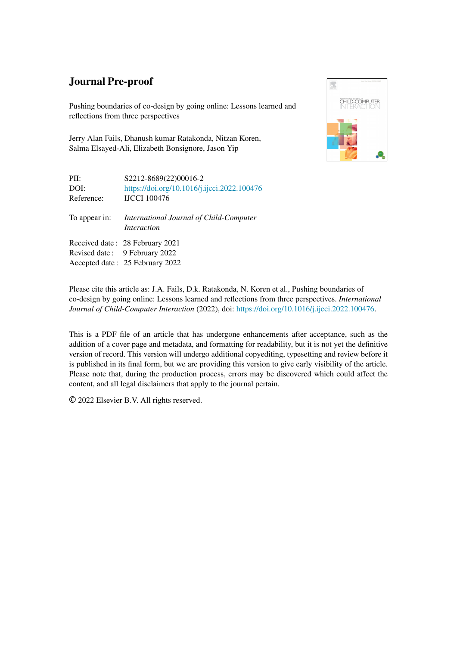# Journal Pre-proof

Pushing boundaries of co-design by going online: Lessons learned and reflections from three perspectives

Jerry Alan Fails, Dhanush kumar Ratakonda, Nitzan Koren, Salma Elsayed-Ali, Elizabeth Bonsignore, Jason Yip



| PII:<br>DOI:<br>Reference: | S2212-8689(22)00016-2<br>https://doi.org/10.1016/j.ijcci.2022.100476<br><b>IJCCI</b> 100476 |
|----------------------------|---------------------------------------------------------------------------------------------|
| To appear in:              | International Journal of Child-Computer<br><i>Interaction</i>                               |
|                            | Received date: 28 February 2021                                                             |
|                            | Revised date: 9 February 2022                                                               |
|                            | Accepted date: 25 February 2022                                                             |

Please cite this article as: J.A. Fails, D.k. Ratakonda, N. Koren et al., Pushing boundaries of co-design by going online: Lessons learned and reflections from three perspectives. *International Journal of Child-Computer Interaction* (2022), doi: [https://doi.org/10.1016/j.ijcci.2022.100476.](https://doi.org/10.1016/j.ijcci.2022.100476)

This is a PDF file of an article that has undergone enhancements after acceptance, such as the addition of a cover page and metadata, and formatting for readability, but it is not yet the definitive version of record. This version will undergo additional copyediting, typesetting and review before it is published in its final form, but we are providing this version to give early visibility of the article. Please note that, during the production process, errors may be discovered which could affect the content, and all legal disclaimers that apply to the journal pertain.

© 2022 Elsevier B.V. All rights reserved.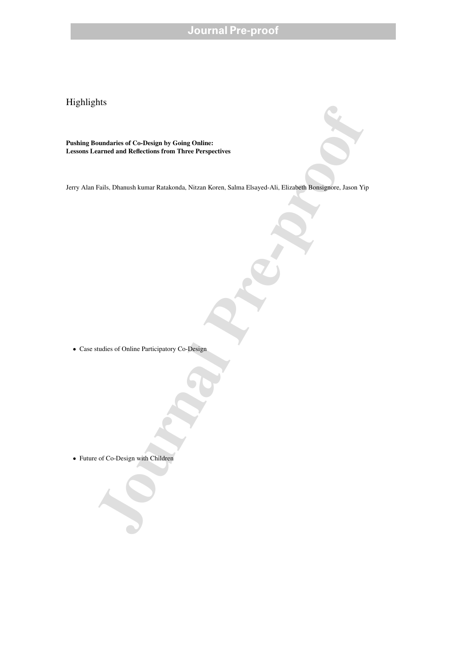# **Journal Pre-proof**

Highlights

sounduries of Co-Design by Going Online:<br>
Fails, Dhannah kumar Ratakrorda. Nizzan Koren, Salma Fikayed Ali, Fiizaheth Rossignives, Jason V<sub>i</sub><br>
Fails, Dhannah kumar Ratakrorda. Nizzan Koren, Salma Fikayed Ali, Fiizaheth Ros Pushing Boundaries of Co-Design by Going Online: Lessons Learned and Reflections from Three Perspectives

Jerry Alan Fails, Dhanush kumar Ratakonda, Nitzan Koren, Salma Elsayed-Ali, Elizabeth Bonsignore, Jason Yip

• Case studies of Online Participatory Co-Design

• Future of Co-Design with Children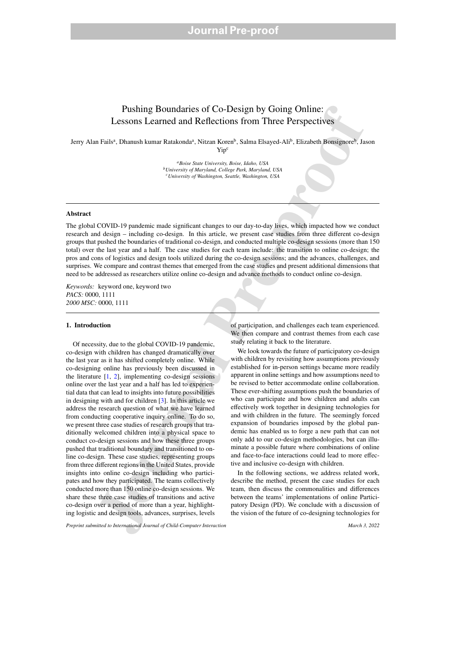# Pushing Boundaries of Co-Design by Going Online: Lessons Learned and Reflections from Three Perspectives

Jerry Alan Failsª, Dhanush kumar Ratakondaª, Nitzan Koren<sup>b</sup>, Salma Elsayed-Ali<sup>b</sup>, Elizabeth Bonsignore<sup>b</sup>, Jason Yip<sup>c</sup>

> *<sup>a</sup>Boise State University, Boise, Idaho, USA <sup>b</sup>University of Maryland, College Park, Maryland, USA <sup>c</sup>University of Washington, Seattle, Washington, USA*

# Abstract

The global COVID-19 pandemic made significant changes to our day-to-day lives, which impacted how we conduct research and design – including co-design. In this article, we present case studies from three different co-design groups that pushed the boundaries of traditional co-design, and conducted multiple co-design sessions (more than 150 total) over the last year and a half. The case studies for each team include: the transition to online co-design; the pros and cons of logistics and design tools utilized during the co-design sessions; and the advances, challenges, and surprises. We compare and contrast themes that emerged from the case studies and present additional dimensions that need to be addressed as researchers utilize online co-design and advance methods to conduct online co-design.

*Keywords:* keyword one, keyword two *PACS:* 0000, 1111 *2000 MSC:* 0000, 1111

# 1. Introduction

**Pushing Boundaries of Co-Design by Going Online:**<br>
Lessons Learned and Reflections from Three Perspectives<br>
Lessons Learned and Reflections from Three Perspectives<br>
Figure 1. State the constrained  $\gamma$  Nutral Pre-profile Of necessity, due to the global COVID-19 pandemic, co-design with children has changed dramatically over the last year as it has shifted completely online. While co-designing online has previously been discussed in the literature  $[1, 2]$ , implementing co-design sessions online over the last year and a half has led to experiential data that can lead to insights into future possibilities in designing with and for children [3]. In this article we address the research question of what we have learned from conducting cooperative inquiry online. To do so, we present three case studies of research groups that traditionally welcomed children into a physical space to conduct co-design sessions and how these three groups pushed that traditional boundary and transitioned to online co-design. These case studies, representing groups from three different regions in the United States, provide insights into online co-design including who participates and how they participated. The teams collectively conducted more than 150 online co-design sessions. We share these three case studies of transitions and active co-design over a period of more than a year, highlighting logistic and design tools, advances, surprises, levels

of participation, and challenges each team experienced. We then compare and contrast themes from each case study relating it back to the literature.

We look towards the future of participatory co-design with children by revisiting how assumptions previously established for in-person settings became more readily apparent in online settings and how assumptions need to be revised to better accommodate online collaboration. These ever-shifting assumptions push the boundaries of who can participate and how children and adults can effectively work together in designing technologies for and with children in the future. The seemingly forced expansion of boundaries imposed by the global pandemic has enabled us to forge a new path that can not only add to our co-design methodologies, but can illuminate a possible future where combinations of online and face-to-face interactions could lead to more effective and inclusive co-design with children.

In the following sections, we address related work, describe the method, present the case studies for each team, then discuss the commonalities and differences between the teams' implementations of online Participatory Design (PD). We conclude with a discussion of the vision of the future of co-designing technologies for

*Preprint submitted to International Journal of Child-Computer Interaction* March 3, 2022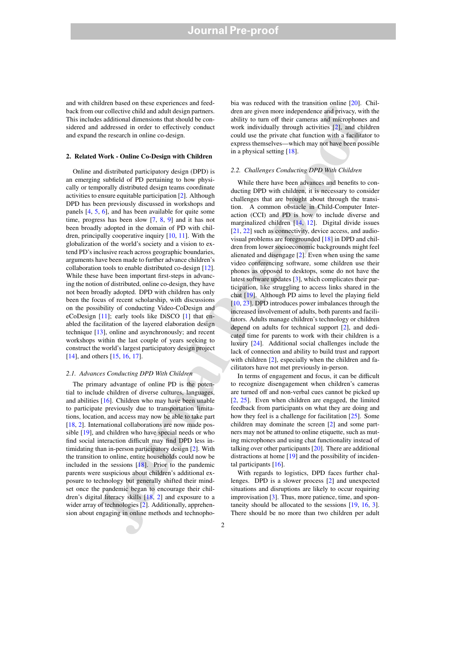and with children based on these experiences and feedback from our collective child and adult design partners. This includes additional dimensions that should be considered and addressed in order to effectively conduct and expand the research in online co-design.

#### 2. Related Work - Online Co-Design with Children

Online and distributed participatory design (DPD) is an emerging subfield of PD pertaining to how physically or temporally distributed design teams coordinate activities to ensure equitable participation [2]. Although DPD has been previously discussed in workshops and panels [4, 5, 6], and has been available for quite some time, progress has been slow [7, 8, 9] and it has not been broadly adopted in the domain of PD with children, principally cooperative inquiry [10, 11]. With the globalization of the world's society and a vision to extend PD's inclusive reach across geographic boundaries, arguments have been made to further advance children's collaboration tools to enable distributed co-design [12]. While these have been important first-steps in advancing the notion of distributed, online co-design, they have not been broadly adopted. DPD with children has only been the focus of recent scholarship, with discussions on the possibility of conducting Video-CoDesign and eCoDesign [11]; early tools like DiSCO [1] that enabled the facilitation of the layered elaboration design technique [13], online and asynchronously; and recent workshops within the last couple of years seeking to construct the world's largest participatory design project [14], and others [15, 16, 17].

# *2.1. Advances Conducting DPD With Children*

The primary advantage of online PD is the potential to include children of diverse cultures, languages, and abilities [16]. Children who may have been unable to participate previously due to transportation limitations, location, and access may now be able to take part [18, 2]. International collaborations are now made possible [19], and children who have special needs or who find social interaction difficult may find DPD less intimidating than in-person participatory design [2]. With the transition to online, entire households could now be included in the sessions [18]. Prior to the pandemic parents were suspicious about children's additional exposure to technology but generally shifted their mindset once the pandemic began to encourage their children's digital literacy skills [18, 2] and exposure to a wider array of technologies [2]. Additionally, apprehension about engaging in online methods and technopho-

bia was reduced with the transition online [20]. Children are given more independence and privacy, with the ability to turn off their cameras and microphones and work individually through activities [2], and children could use the private chat function with a facilitator to express themselves—which may not have been possible in a physical setting [18].

#### *2.2. Challenges Conducting DPD With Children*

on content on the based on the state of the state of the state of the state of the state of the state of the state of the state of the state of the state of the state of the state of the state of the state of the state of While there have been advances and benefits to conducting DPD with children, it is necessary to consider challenges that are brought about through the transition. A common obstacle in Child-Computer Interaction (CCI) and PD is how to include diverse and marginalized children [14, 12]. Digital divide issues [21, 22] such as connectivity, device access, and audiovisual problems are foregrounded [18] in DPD and children from lower socioeconomic backgrounds might feel alienated and disengage [2]. Even when using the same video conferencing software, some children use their phones as opposed to desktops, some do not have the latest software updates [3], which complicates their participation, like struggling to access links shared in the chat [19]. Although PD aims to level the playing field [10, 23], DPD introduces power imbalances through the increased involvement of adults, both parents and facilitators. Adults manage children's technology or children depend on adults for technical support [2], and dedicated time for parents to work with their children is a luxury [24]. Additional social challenges include the lack of connection and ability to build trust and rapport with children [2], especially when the children and facilitators have not met previously in-person.

In terms of engagement and focus, it can be difficult to recognize disengagement when children's cameras are turned off and non-verbal cues cannot be picked up [2, 25]. Even when children are engaged, the limited feedback from participants on what they are doing and how they feel is a challenge for facilitation [25]. Some children may dominate the screen [2] and some partners may not be attuned to online etiquette, such as muting microphones and using chat functionality instead of talking over other participants [20]. There are additional distractions at home [19] and the possibility of incidental participants [16].

With regards to logistics, DPD faces further challenges. DPD is a slower process [2] and unexpected situations and disruptions are likely to occur requiring improvisation [3]. Thus, more patience, time, and spontaneity should be allocated to the sessions [19, 16, 3]. There should be no more than two children per adult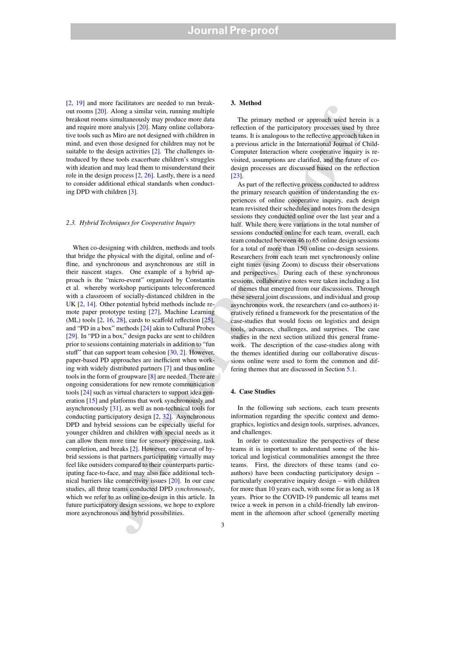[2, 19] and more facilitators are needed to run breakout rooms [20]. Along a similar vein, running multiple breakout rooms simultaneously may produce more data and require more analysis [20]. Many online collaborative tools such as Miro are not designed with children in mind, and even those designed for children may not be suitable to the design activities [2]. The challenges introduced by these tools exacerbate children's struggles with ideation and may lead them to misunderstand their role in the design process [2, 26]. Lastly, there is a need to consider additional ethical standards when conducting DPD with children [3].

#### *2.3. Hybrid Techniques for Cooperative Inquiry*

The paints valid three is the selection of the priori in the selection of the priori in the proof of the priori in the proof of the proof of the proof of the proof of the proof of the proof of the proof of the proof and t When co-designing with children, methods and tools that bridge the physical with the digital, online and offline, and synchronous and asynchronous are still in their nascent stages. One example of a hybrid approach is the "micro-event" organized by Constantin et al. whereby workshop participants teleconferenced with a classroom of socially-distanced children in the UK [2, 14]. Other potential hybrid methods include remote paper prototype testing [27], Machine Learning  $(ML)$  tools  $[2, 16, 28]$ , cards to scaffold reflection  $[25]$ , and "PD in a box" methods [24] akin to Cultural Probes [29]. In "PD in a box," design packs are sent to children prior to sessions containing materials in addition to "fun stuff" that can support team cohesion [30, 2]. However, paper-based PD approaches are inefficient when working with widely distributed partners [7] and thus online tools in the form of groupware [8] are needed. There are ongoing considerations for new remote communication tools [24] such as virtual characters to support idea generation [15] and platforms that work synchronously and asynchronously [31], as well as non-technical tools for conducting participatory design [2, 32]. Asynchronous DPD and hybrid sessions can be especially useful for younger children and children with special needs as it can allow them more time for sensory processing, task completion, and breaks [2]. However, one caveat of hybrid sessions is that partners participating virtually may feel like outsiders compared to their counterparts participating face-to-face, and may also face additional technical barriers like connectivity issues [20]. In our case studies, all three teams conducted DPD *synchronously*, which we refer to as online co-design in this article. In future participatory design sessions, we hope to explore more asynchronous and hybrid possibilities.

# 3. Method

The primary method or approach used herein is a reflection of the participatory processes used by three teams. It is analogous to the reflective approach taken in a previous article in the International Journal of Child-Computer Interaction where cooperative inquiry is revisited, assumptions are clarified, and the future of codesign processes are discussed based on the reflection [23].

As part of the reflective process conducted to address the primary research question of understanding the experiences of online cooperative inquiry, each design team revisited their schedules and notes from the design sessions they conducted online over the last year and a half. While there were variations in the total number of sessions conducted online for each team, overall, each team conducted between 46 to 65 online design sessions for a total of more than 150 online co-design sessions. Researchers from each team met synchronously online eight times (using Zoom) to discuss their observations and perspectives. During each of these synchronous sessions, collaborative notes were taken including a list of themes that emerged from our discussions. Through these several joint discussions, and individual and group asynchronous work, the researchers (and co-authors) iteratively refined a framework for the presentation of the case-studies that would focus on logistics and design tools, advances, challenges, and surprises. The case studies in the next section utilized this general framework. The description of the case-studies along with the themes identified during our collaborative discussions online were used to form the common and differing themes that are discussed in Section 5.1.

### 4. Case Studies

In the following sub sections, each team presents information regarding the specific context and demographics, logistics and design tools, surprises, advances, and challenges.

In order to contextualize the perspectives of these teams it is important to understand some of the historical and logistical commonalities amongst the three teams. First, the directors of these teams (and coauthors) have been conducting participatory design – particularly cooperative inquiry design – with children for more than 10 years each, with some for as long as 18 years. Prior to the COVID-19 pandemic all teams met twice a week in person in a child-friendly lab environment in the afternoon after school (generally meeting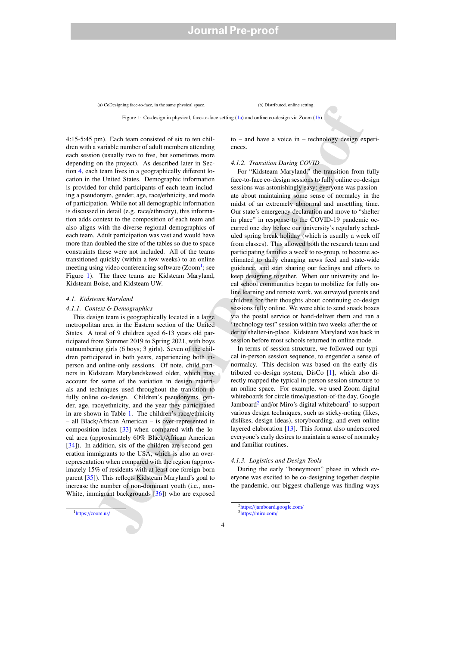(a) CoDesigning face-to-face, in the same physical space. (b) Distributed, online setting.

Figure 1: Co-design in physical, face-to-face setting (1a) and online co-design via Zoom (1b).

4:15-5:45 pm). Each team consisted of six to ten children with a variable number of adult members attending each session (usually two to five, but sometimes more depending on the project). As described later in Section 4, each team lives in a geographically different location in the United States. Demographic information is provided for child participants of each team including a pseudonym, gender, age, race/ethnicity, and mode of participation. While not all demographic information is discussed in detail (e.g. race/ethnicity), this information adds context to the composition of each team and also aligns with the diverse regional demographics of each team. Adult participation was vast and would have more than doubled the size of the tables so due to space constraints these were not included. All of the teams transitioned quickly (within a few weeks) to an online meeting using video conferencing software (Zoom<sup>1</sup>; see Figure 1). The three teams are Kidsteam Maryland, Kidsteam Boise, and Kidsteam UW.

#### *4.1. Kidsteam Maryland*

# *4.1.1. Context* & *Demographics*

This design team is geographically located in a large metropolitan area in the Eastern section of the United States. A total of 9 children aged 6-13 years old participated from Summer 2019 to Spring 2021, with boys outnumbering girls (6 boys; 3 girls). Seven of the children participated in both years, experiencing both inperson and online-only sessions. Of note, child partners in Kidsteam Marylandskewed older, which may account for some of the variation in design materials and techniques used throughout the transition to fully online co-design. Children's pseudonyms, gender, age, race/ethnicity, and the year they participated in are shown in Table 1. The children's race/ethnicity – all Black/African American – is over-represented in composition index  $[33]$  when compared with the local area (approximately 60% Black/African American [34]). In addition, six of the children are second generation immigrants to the USA, which is also an overrepresentation when compared with the region (approximately 15% of residents with at least one foreign-born parent [35]). This reflects Kidsteam Maryland's goal to increase the number of non-dominant youth (i.e., non-White, immigrant backgrounds [36]) who are exposed to – and have a voice in – technology design experiences.

#### *4.1.2. Transition During COVID*

is college to the mean of the college state in the two-sections in the two-section and window the state in the<br>advantage of the mean of the state in the state in the state in the state of the<br>state in the state in the sta For "Kidsteam Maryland," the transition from fully face-to-face co-design sessions to fully online co-design sessions was astonishingly easy: everyone was passionate about maintaining some sense of normalcy in the midst of an extremely abnormal and unsettling time. Our state's emergency declaration and move to "shelter in place" in response to the COVID-19 pandemic occurred one day before our university's regularly scheduled spring break holiday (which is usually a week off from classes). This allowed both the research team and participating families a week to re-group, to become acclimated to daily changing news feed and state-wide guidance, and start sharing our feelings and efforts to keep designing together. When our university and local school communities began to mobilize for fully online learning and remote work, we surveyed parents and children for their thoughts about continuing co-design sessions fully online. We were able to send snack boxes via the postal service or hand-deliver them and ran a "technology test" session within two weeks after the order to shelter-in-place. Kidsteam Maryland was back in session before most schools returned in online mode.

In terms of session structure, we followed our typical in-person session sequence, to engender a sense of normalcy. This decision was based on the early distributed co-design system, DisCo [1], which also directly mapped the typical in-person session structure to an online space. For example, we used Zoom digital whiteboards for circle time/question-of-the day, Google Jamboard<sup>2</sup> and/or Miro's digital whiteboard<sup>3</sup> to support various design techniques, such as sticky-noting (likes, dislikes, design ideas), storyboarding, and even online layered elaboration [13]. This format also underscored everyone's early desires to maintain a sense of normalcy and familiar routines.

# *4.1.3. Logistics and Design Tools*

During the early "honeymoon" phase in which everyone was excited to be co-designing together despite the pandemic, our biggest challenge was finding ways

<sup>1</sup>https://zoom.us/

<sup>2</sup>https://jamboard.google.com/ <sup>3</sup>https://miro.com/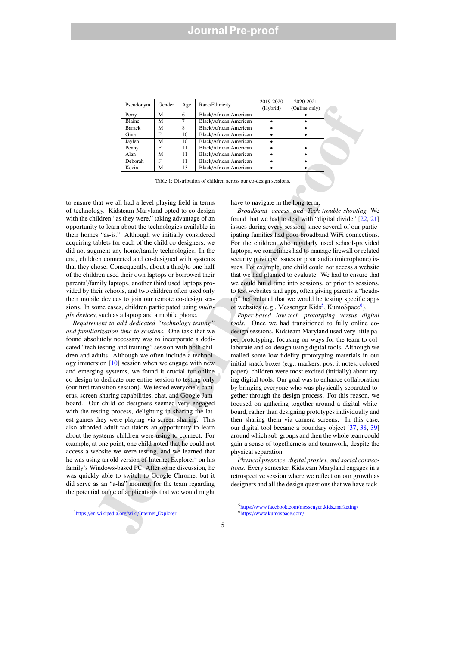| Gender<br>Pseudonym |   |     | Race/Ethnicity                | 2019-2020 | 2020-2021     |
|---------------------|---|-----|-------------------------------|-----------|---------------|
|                     |   | Age |                               | (Hybrid)  | (Online only) |
| Perry               | М | 6   | Black/African American        |           |               |
| <b>Blaine</b>       | М |     | <b>Black/African American</b> |           |               |
| <b>Barack</b>       | М | 8   | <b>Black/African American</b> |           |               |
| Gina                | F | 10  | <b>Black/African American</b> |           |               |
| Jaylen              | М | 10  | <b>Black/African American</b> |           |               |
| Penny               | F | 11  | <b>Black/African American</b> |           |               |
| Alan                | М | 11  | <b>Black/African American</b> |           |               |
| Deborah             | F | 11  | <b>Black/African American</b> |           |               |
| Kevin               | М | 13  | <b>Black/African American</b> |           |               |

Table 1: Distribution of children across our co-design sessions.

to ensure that we all had a level playing field in terms of technology. Kidsteam Maryland opted to co-design with the children "as they were," taking advantage of an opportunity to learn about the technologies available in their homes "as-is." Although we initially considered acquiring tablets for each of the child co-designers, we did not augment any home/family technologies. In the end, children connected and co-designed with systems that they chose. Consequently, about a third/to one-half of the children used their own laptops or borrowed their parents'/family laptops, another third used laptops provided by their schools, and two children often used only their mobile devices to join our remote co-design sessions. In some cases, children participated using *multiple devices*, such as a laptop and a mobile phone.

President of the Karl Maria and the state in the state of the state of the state of the state of the state of the state of the state of the state of the state of the state of the state of the state of the state of the sta *Requirement to add dedicated "technology testing" and familiarization time to sessions.* One task that we found absolutely necessary was to incorporate a dedicated "tech testing and training" session with both children and adults. Although we often include a technology immersion [10] session when we engage with new and emerging systems, we found it crucial for online co-design to dedicate one entire session to testing only (our first transition session). We tested everyone's cameras, screen-sharing capabilities, chat, and Google Jamboard. Our child co-designers seemed very engaged with the testing process, delighting in sharing the latest games they were playing via screen-sharing. This also afforded adult facilitators an opportunity to learn about the systems children were using to connect. For example, at one point, one child noted that he could not access a website we were testing, and we learned that he was using an old version of Internet Explorer<sup>4</sup> on his family's Windows-based PC. After some discussion, he was quickly able to switch to Google Chrome, but it did serve as an "a-ha" moment for the team regarding the potential range of applications that we would might

have to navigate in the long term.

*Broadband access and Tech-trouble-shooting* We found that we had to deal with "digital divide" [22, 21] issues during every session, since several of our participating families had poor broadband WiFi connections. For the children who regularly used school-provided laptops, we sometimes had to manage firewall or related security privilege issues or poor audio (microphone) issues. For example, one child could not access a website that we had planned to evaluate. We had to ensure that we could build time into sessions, or prior to sessions, to test websites and apps, often giving parents a "headsup" beforehand that we would be testing specific apps or websites (e.g., Messenger Kids<sup>5</sup>, KumoSpace<sup>6</sup>).

*Paper-based low-tech prototyping versus digital tools.* Once we had transitioned to fully online codesign sessions, Kidsteam Maryland used very little paper prototyping, focusing on ways for the team to collaborate and co-design using digital tools. Although we mailed some low-fidelity prototyping materials in our initial snack boxes (e.g., markers, post-it notes, colored paper), children were most excited (initially) about trying digital tools. Our goal was to enhance collaboration by bringing everyone who was physically separated together through the design process. For this reason, we focused on gathering together around a digital whiteboard, rather than designing prototypes individually and then sharing them via camera screens. In this case, our digital tool became a boundary object [37, 38, 39] around which sub-groups and then the whole team could gain a sense of togetherness and teamwork, despite the physical separation.

*Physical presence, digital proxies, and social connections*. Every semester, Kidsteam Maryland engages in a retrospective session where we reflect on our growth as designers and all the design questions that we have tack-

5https://www.facebook.com/messenger\_kids\_marketing/ <sup>6</sup>https://www.kumospace.com/

<sup>4</sup>https://en.wikipedia.org/wiki/Internet Explorer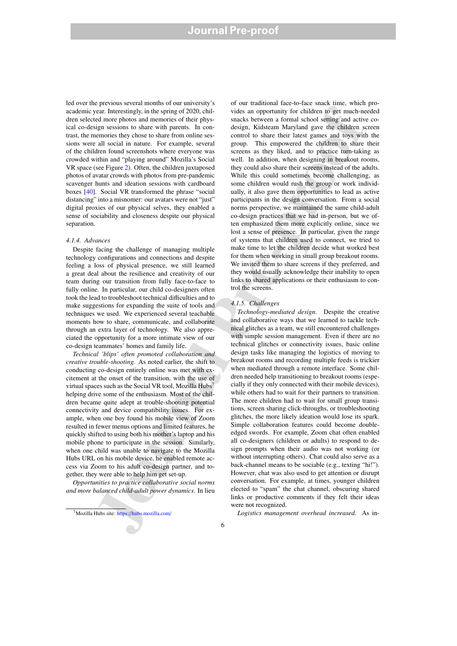led over the previous several months of our university's academic year. Interestingly, in the spring of 2020, children selected more photos and memories of their physical co-design sessions to share with parents. In contrast, the memories they chose to share from online sessions were all social in nature. For example, several of the children found screenshots where everyone was crowded within and "playing around" Mozilla's Social VR space (see Figure 2). Often, the children juxtaposed photos of avatar crowds with photos from pre-pandemic scavenger hunts and ideation sessions with cardboard boxes [40]. Social VR transformed the phrase "social distancing" into a misnomer: our avatars were not "just" digital proxies of our physical selves, they enabled a sense of sociability and closeness despite our physical separation.

# *4.1.4. Advances*

Despite facing the challenge of managing multiple technology configurations and connections and despite feeling a loss of physical presence, we still learned a great deal about the resilience and creativity of our team during our transition from fully face-to-face to fully online. In particular, our child co-designers often took the lead to troubleshoot technical difficulties and to make suggestions for expanding the suite of tools and techniques we used. We experienced several teachable moments how to share, communicate, and collaborate through an extra layer of technology. We also appreciated the opportunity for a more intimate view of our co-design teammates' homes and family life.

*Technical 'blips' often promoted collaboration and creative trouble-shooting.* As noted earlier, the shift to conducting co-design entirely online was met with excitement at the onset of the transition, with the use of virtual spaces such as the Social VR tool, Mozilla Hubs<sup>7</sup> helping drive some of the enthusiasm. Most of the children became quite adept at trouble-shooting potential connectivity and device compatibility issues. For example, when one boy found his mobile view of Zoom resulted in fewer menus options and limited features, he quickly shifted to using both his mother's laptop and his mobile phone to participate in the session. Similarly, when one child was unable to navigate to the Mozilla Hubs URL on his mobile device, he enabled remote access via Zoom to his adult co-design partner, and together, they were able to help him get set-up.

*Opportunities to practice collaborative social norms and more balanced child-adult power dynamics*. In lieu

of our traditional face-to-face snack time, which provides an opportunity for children to get much-needed snacks between a formal school setting and active codesign, Kidsteam Maryland gave the children screen control to share their latest games and toys with the group. This empowered the children to share their screens as they liked, and to practice turn-taking as well. In addition, when designing in breakout rooms, they could also share their screens instead of the adults. While this could sometimes become challenging, as some children would rush the group or work individually, it also gave them opportunities to lead as active participants in the design conversation. From a social norms perspective, we maintained the same child-adult co-design practices that we had in-person, but we often emphasized them more explicitly online, since we lost a sense of presence. In particular, given the range of systems that children used to connect, we tried to make time to let the children decide what worked best for them when working in small group breakout rooms. We invited them to share screens if they preferred, and they would usually acknowledge their inability to open links to shared applications or their enthusiasm to control the screens.

#### *4.1.5. Challenges*

For the control of the spectral control of the spectral control of the spectral control of the spectral control of the spectral control of the spectral control of the spectral control of the spectral control of the spectr *Technology-mediated design.* Despite the creative and collaborative ways that we learned to tackle technical glitches as a team, we still encountered challenges with simple session management. Even if there are no technical glitches or connectivity issues, basic online design tasks like managing the logistics of moving to breakout rooms and recording multiple feeds is trickier when mediated through a remote interface. Some children needed help transitioning to breakout rooms (especially if they only connected with their mobile devices), while others had to wait for their partners to transition. The more children had to wait for small group transitions, screen sharing click-throughs, or troubleshooting glitches, the more likely ideation would lose its spark. Simple collaboration features could become doubleedged swords. For example, Zoom chat often enabled all co-designers (children or adults) to respond to design prompts when their audio was not working (or without interrupting others). Chat could also serve as a back-channel means to be sociable (e.g., texting "hi!"). However, chat was also used to get attention or disrupt conversation. For example, at times, younger children elected to "spam" the chat channel, obscuring shared links or productive comments if they felt their ideas were not recognized.

*Logistics management overhead increased.* As in-

<sup>7</sup>Mozilla Hubs site: https://hubs.mozilla.com/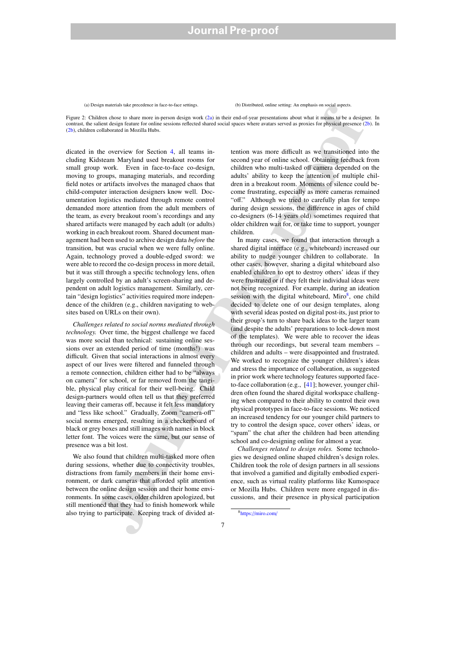(a) Design materials take precedence in face-to-face settings. (b) Distributed, online setting: An emphasis on social aspects.

Figure 2: Children chose to share more in-person design work (2a) in their end-of-year presentations about what it means to be a designer. In contrast, the salient design feature for online sessions reflected shared social spaces where avatars served as proxies for physical presence (2b). In (2b), children collaborated in Mozilla Hubs.

dicated in the overview for Section 4, all teams including Kidsteam Maryland used breakout rooms for small group work. Even in face-to-face co-design, moving to groups, managing materials, and recording field notes or artifacts involves the managed chaos that child-computer interaction designers know well. Documentation logistics mediated through remote control demanded more attention from the adult members of the team, as every breakout room's recordings and any shared artifacts were managed by each adult (or adults) working in each breakout room. Shared document management had been used to archive design data *before* the transition, but was crucial when we were fully online. Again, technology proved a double-edged sword: we were able to record the co-design process in more detail, but it was still through a specific technology lens, often largely controlled by an adult's screen-sharing and dependent on adult logistics management. Similarly, certain "design logistics" activities required more independence of the children (e.g., children navigating to websites based on URLs on their own).

*Challenges related to social norms mediated through technology.* Over time, the biggest challenge we faced was more social than technical: sustaining online sessions over an extended period of time (months!) was difficult. Given that social interactions in almost every aspect of our lives were filtered and funneled through a remote connection, children either had to be "always on camera" for school, or far removed from the tangible, physical play critical for their well-being. Child design-partners would often tell us that they preferred leaving their cameras off, because it felt less mandatory and "less like school." Gradually, Zoom "camera-off" social norms emerged, resulting in a checkerboard of black or grey boxes and still images with names in block letter font. The voices were the same, but our sense of presence was a bit lost.

We also found that children multi-tasked more often during sessions, whether due to connectivity troubles, distractions from family members in their home environment, or dark cameras that afforded split attention between the online design session and their home environments. In some cases, older children apologized, but still mentioned that they had to finish homework while also trying to participate. Keeping track of divided at-

tention was more difficult as we transitioned into the second year of online school. Obtaining feedback from children who multi-tasked off camera depended on the adults' ability to keep the attention of multiple children in a breakout room. Moments of silence could become frustrating, especially as more cameras remained "off." Although we tried to carefully plan for tempo during design sessions, the difference in ages of child co-designers (6-14 years old) sometimes required that older children wait for, or take time to support, younger children.

equencies to provide the units. The line of the contents of the proposition of the contents of the contents of the contents of the contents of the contents of the contents of the contents of the contents of the contents o In many cases, we found that interaction through a shared digital interface (e.g., whiteboard) increased our ability to nudge younger children to collaborate. In other cases, however, sharing a digital whiteboard also enabled children to opt to destroy others' ideas if they were frustrated or if they felt their individual ideas were not being recognized. For example, during an ideation session with the digital whiteboard, Miro<sup>8</sup>, one child decided to delete one of our design templates, along with several ideas posted on digital post-its, just prior to their group's turn to share back ideas to the larger team (and despite the adults' preparations to lock-down most of the templates). We were able to recover the ideas through our recordings, but several team members – children and adults – were disappointed and frustrated. We worked to recognize the younger children's ideas and stress the importance of collaboration, as suggested in prior work where technology features supported faceto-face collaboration (e.g., [41]; however, younger children often found the shared digital workspace challenging when compared to their ability to control their own physical prototypes in face-to-face sessions. We noticed an increased tendency for our younger child partners to try to control the design space, cover others' ideas, or "spam" the chat after the children had been attending school and co-designing online for almost a year.

*Challenges related to design roles.* Some technologies we designed online shaped children's design roles. Children took the role of design partners in all sessions that involved a gamified and digitally embodied experience, such as virtual reality platforms like Kumospace or Mozilla Hubs. Children were more engaged in discussions, and their presence in physical participation

<sup>8</sup>https://miro.com/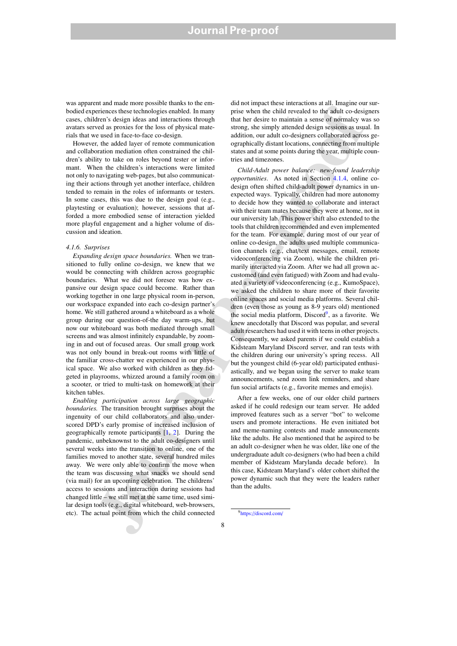was apparent and made more possible thanks to the embodied experiences these technologies enabled. In many cases, children's design ideas and interactions through avatars served as proxies for the loss of physical materials that we used in face-to-face co-design.

However, the added layer of remote communication and collaboration mediation often constrained the children's ability to take on roles beyond tester or informant. When the children's interactions were limited not only to navigating web-pages, but also communicating their actions through yet another interface, children tended to remain in the roles of informants or testers. In some cases, this was due to the design goal (e.g., playtesting or evaluation); however, sessions that afforded a more embodied sense of interaction yielded more playful engagement and a higher volume of discussion and ideation.

# *4.1.6. Surprises*

*Expanding design space boundaries.* When we transitioned to fully online co-design, we knew that we would be connecting with children across geographic boundaries. What we did not foresee was how expansive our design space could become. Rather than working together in one large physical room in-person, our workspace expanded into each co-design partner's home. We still gathered around a whiteboard as a whole group during our question-of-the day warm-ups, but now our whiteboard was both mediated through small screens and was almost infinitely expandable, by zooming in and out of focused areas. Our small group work was not only bound in break-out rooms with little of the familiar cross-chatter we experienced in our physical space. We also worked with children as they fidgeted in playrooms, whizzed around a family room on a scooter, or tried to multi-task on homework at their kitchen tables.

*Enabling participation across large geographic boundaries.* The transition brought surprises about the ingenuity of our child collaborators and also underscored DPD's early promise of increased inclusion of geographically remote participants [1, 2]. During the pandemic, unbeknownst to the adult co-designers until several weeks into the transition to online, one of the families moved to another state, several hundred miles away. We were only able to confirm the move when the team was discussing what snacks we should send (via mail) for an upcoming celebration. The childrens' access to sessions and interaction during sessions had changed little – we still met at the same time, used similar design tools (e.g., digital whiteboard, web-browsers, etc). The actual point from which the child connected

did not impact these interactions at all. Imagine our surprise when the child revealed to the adult co-designers that her desire to maintain a sense of normalcy was so strong, she simply attended design sessions as usual. In addition, our adult co-designers collaborated across geographically distant locations, connecting from multiple states and at some points during the year, multiple countries and timezones.

manneas the relation of the state of the state of the state of the state of the state of the state of the state of the state of the state of the state of the state of the state of the state of the state of the state of th *Child-Adult power balance: new-found leadership opportunities*. As noted in Section 4.1.4, online codesign often shifted child-adult power dynamics in unexpected ways. Typically, children had more autonomy to decide how they wanted to collaborate and interact with their team mates because they were at home, not in our university lab. This power shift also extended to the tools that children recommended and even implemented for the team. For example, during most of our year of online co-design, the adults used multiple communication channels (e.g., chat/text messages, email, remote videoconferencing via Zoom), while the children primarily interacted via Zoom. After we had all grown accustomed (and even fatigued) with Zoom and had evaluated a variety of videoconferencing (e.g., KumoSpace), we asked the children to share more of their favorite online spaces and social media platforms. Several children (even those as young as 8-9 years old) mentioned the social media platform, Discord<sup>9</sup>, as a favorite. We knew anecdotally that Discord was popular, and several adult researchers had used it with teens in other projects. Consequently, we asked parents if we could establish a Kidsteam Maryland Discord server, and ran tests with the children during our university's spring recess. All but the youngest child (6-year old) participated enthusiastically, and we began using the server to make team announcements, send zoom link reminders, and share fun social artifacts (e.g., favorite memes and emojis).

After a few weeks, one of our older child partners asked if he could redesign our team server. He added improved features such as a server "bot" to welcome users and promote interactions. He even initiated bot and meme-naming contests and made announcements like the adults. He also mentioned that he aspired to be an adult co-designer when he was older, like one of the undergraduate adult co-designers (who had been a child member of Kidsteam Marylanda decade before). In this case, Kidsteam Maryland's older cohort shifted the power dynamic such that they were the leaders rather than the adults.

<sup>9</sup>https://discord.com/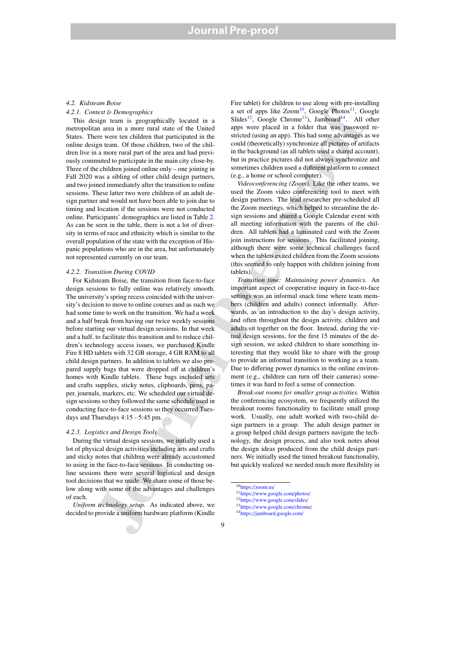### *4.2. Kidsteam Boise*

# *4.2.1. Context* & *Demographics*

This design team is geographically located in a metropolitan area in a more rural state of the United States. There were ten children that participated in the online design team. Of those children, two of the children live in a more rural part of the area and had previously commuted to participate in the main city close-by. Three of the children joined online only – one joining in Fall 2020 was a sibling of other child design partners, and two joined immediately after the transition to online sessions. These latter two were children of an adult design partner and would not have been able to join due to timing and location if the sessions were not conducted online. Participants' demographics are listed in Table 2. As can be seen in the table, there is not a lot of diversity in terms of race and ethnicity which is similar to the overall population of the state with the exception of Hispanic populations who are in the area, but unfortunately not represented currently on our team.

# *4.2.2. Transition During COVID*

and an ancore of the two-test and the distribution of the set of the set of the set of the set of the set of the set of the set of the set of the set of the set of the set of the set of the set of the set of the set of th For Kidsteam Boise, the transition from face-to-face design sessions to fully online was relatively smooth. The university's spring recess coincided with the university's decision to move to online courses and as such we had some time to work on the transition. We had a week and a half break from having our twice weekly sessions before starting our virtual design sessions. In that week and a half, to facilitate this transition and to reduce children's technology access issues, we purchased Kindle Fire 8 HD tablets with 32 GB storage, 4 GB RAM to all child design partners. In addition to tablets we also prepared supply bags that were dropped off at children's homes with Kindle tablets. These bags included arts and crafts supplies, sticky notes, clipboards, pens, paper, journals, markers, etc. We scheduled our virtual design sessions so they followed the same schedule used in conducting face-to-face sessions so they occurred Tuesdays and Thursdays 4:15 - 5:45 pm.

# *4.2.3. Logistics and Design Tools*

During the virtual design sessions, we initially used a lot of physical design activities including arts and crafts and sticky notes that children were already accustomed to using in the face-to-face sessions. In conducting online sessions there were several logistical and design tool decisions that we made. We share some of those below along with some of the advantages and challenges of each.

*Uniform technology setup.* As indicated above, we decided to provide a uniform hardware platform (Kindle

Fire tablet) for children to use along with pre-installing a set of apps like  $Zoom^{10}$ , Google Photos<sup>11</sup>, Google Slides<sup>12</sup>, Google Chrome<sup>13</sup>), Jamboard<sup>14</sup>. All other apps were placed in a folder that was password restricted (using an app). This had some advantages as we could (theoretically) synchronize all pictures of artifacts in the background (as all tablets used a shared account), but in practice pictures did not always synchronize and sometimes children used a different platform to connect (e.g., a home or school computer).

*Videoconferencing (Zoom).* Like the other teams, we used the Zoom video conferencing tool to meet with design partners. The lead researcher pre-scheduled all the Zoom meetings, which helped to streamline the design sessions and shared a Google Calendar event with all meeting information with the parents of the children. All tablets had a laminated card with the Zoom join instructions for sessions. This facilitated joining, although there were some technical challenges faced when the tablets exited children from the Zoom sessions (this seemed to only happen with children joining from tablets).

*Transition time: Maintaining power dynamics.* An important aspect of cooperative inquiry in face-to-face settings was an informal snack time where team members (children and adults) connect informally. Afterwards, as an introduction to the day's design activity, and often throughout the design activity, children and adults sit together on the floor. Instead, during the virtual design sessions, for the first 15 minutes of the design session, we asked children to share something interesting that they would like to share with the group to provide an informal transition to working as a team. Due to differing power dynamics in the online environment (e.g., children can turn off their cameras) sometimes it was hard to feel a sense of connection.

*Break-out rooms for smaller group activities.* Within the conferencing ecosystem, we frequently utilized the breakout rooms functionality to facilitate small group work. Usually, one adult worked with two-child design partners in a group. The adult design partner in a group helped child design partners navigate the technology, the design process, and also took notes about the design ideas produced from the child design partners. We initially used the timed breakout functionality, but quickly realized we needed much more flexibility in

<sup>10</sup>https://zoom.us/

<sup>11</sup>https://www.google.com/photos/ <sup>12</sup>https://www.google.com/slides/ <sup>13</sup>https://www.google.com/chrome/

<sup>14</sup>https://jamboard.google.com/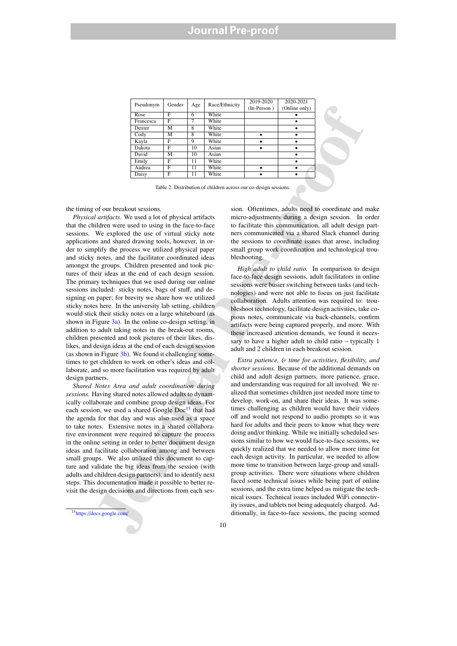| Pseudonym | Gender | Age | Race/Ethnicity | 2019-2020<br>(In-Person) | 2020-2021<br>(Online only) |
|-----------|--------|-----|----------------|--------------------------|----------------------------|
| Rose      | F      | 6   | White          |                          |                            |
| Francesca | F      | 7   | White          |                          |                            |
| Dexter    | М      | 8   | White          |                          |                            |
| Cody      | М      | 8   | White          |                          |                            |
| Kayla     | F      | 9   | White          |                          |                            |
| Dakota    | F      | 10  | Asian          |                          |                            |
| David     | М      | 10  | Asian          |                          |                            |
| Emily     | F      | 11  | White          |                          |                            |
| Andrea    | F      | 11  | White          | ٠                        |                            |
| Daisy     | F      | 11  | White          |                          |                            |

Table 2: Distribution of children across our co-design sessions.

the timing of our breakout sessions.

*Physical artifacts.* We used a lot of physical artifacts that the children were used to using in the face-to-face sessions. We explored the use of virtual sticky note applications and shared drawing tools, however, in order to simplify the process we utilized physical paper and sticky notes, and the facilitator coordinated ideas amongst the groups. Children presented and took pictures of their ideas at the end of each design session. The primary techniques that we used during our online sessions included: sticky notes, bags of stuff, and designing on paper; for brevity we share how we utilized sticky notes here. In the university lab setting, children would stick their sticky notes on a large whiteboard (as shown in Figure 3a). In the online co-design setting, in addition to adult taking notes in the break-out rooms, children presented and took pictures of their likes, dislikes, and design ideas at the end of each design session (as shown in Figure  $3b$ ). We found it challenging sometimes to get children to work on other's ideas and collaborate, and so more facilitation was required by adult design partners.

*Shared Notes Area and adult coordination during sessions.* Having shared notes allowed adults to dynamically collaborate and combine group design ideas. For each session, we used a shared Google  $Doc<sup>15</sup>$  that had the agenda for that day and was also used as a space to take notes. Extensive notes in a shared collaborative environment were required to capture the process in the online setting in order to better document design ideas and facilitate collaboration among and between small groups. We also utilized this document to capture and validate the big ideas from the session (with adults and children design partners), and to identify next steps. This documentation made it possible to better revisit the design decisions and directions from each ses-

sion. Oftentimes, adults need to coordinate and make micro-adjustments during a design session. In order to facilitate this communication, all adult design partners communicated via a shared Slack channel during the sessions to coordinate issues that arose, including small group work coordination and technological troubleshooting.

*High adult to child ratio.* In comparison to design face-to-face design sessions, adult facilitators in online sessions were busier switching between tasks (and technologies) and were not able to focus on just facilitate collaboration. Adults attention was required to: troubleshoot technology, facilitate design activities, take copious notes, communicate via back-channels, confirm artifacts were being captured properly, and more. With these increased attention demands, we found it necessary to have a higher adult to child ratio – typically 1 adult and 2 children in each breakout session.

Frace Constrained Nation 2 (Eactument in the case of the state of the state of the state of the state of the state of the state of the state of the state of the state of the state of the state of the state of the state of *Extra patience,* & *time for activities, flexibility, and shorter sessions.* Because of the additional demands on child and adult design partners, more patience, grace, and understanding was required for all involved. We realized that sometimes children just needed more time to develop, work-on, and share their ideas. It was sometimes challenging as children would have their videos off and would not respond to audio prompts so it was hard for adults and their peers to know what they were doing and/or thinking. While we initially scheduled sessions similar to how we would face-to-face sessions, we quickly realized that we needed to allow more time for each design activity. In particular, we needed to allow more time to transition between large-group and smallgroup activities. There were situations where children faced some technical issues while being part of online sessions, and the extra time helped us mitigate the technical issues. Technical issues included WiFi connectivity issues, and tablets not being adequately charged. Additionally, in face-to-face sessions, the pacing seemed

<sup>15</sup>https://docs.google.com/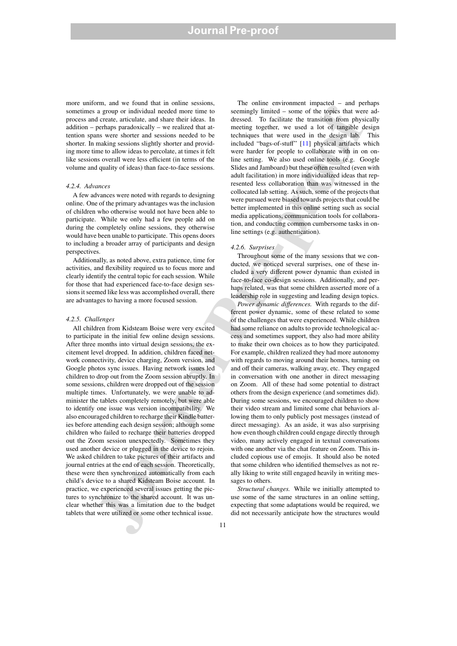more uniform, and we found that in online sessions, sometimes a group or individual needed more time to process and create, articulate, and share their ideas. In addition – perhaps paradoxically – we realized that attention spans were shorter and sessions needed to be shorter. In making sessions slightly shorter and providing more time to allow ideas to percolate, at times it felt like sessions overall were less efficient (in terms of the volume and quality of ideas) than face-to-face sessions.

#### *4.2.4. Advances*

A few advances were noted with regards to designing online. One of the primary advantages was the inclusion of children who otherwise would not have been able to participate. While we only had a few people add on during the completely online sessions, they otherwise would have been unable to participate. This opens doors to including a broader array of participants and design perspectives.

Additionally, as noted above, extra patience, time for activities, and flexibility required us to focus more and clearly identify the central topic for each session. While for those that had experienced face-to-face design sessions it seemed like less was accomplished overall, there are advantages to having a more focused session.

### *4.2.5. Challenges*

All children from Kidsteam Boise were very excited to participate in the initial few online design sessions. After three months into virtual design sessions, the excitement level dropped. In addition, children faced network connectivity, device charging, Zoom version, and Google photos sync issues. Having network issues led children to drop out from the Zoom session abruptly. In some sessions, children were dropped out of the session multiple times. Unfortunately, we were unable to administer the tablets completely remotely, but were able to identify one issue was version incompatibility. We also encouraged children to recharge their Kindle batteries before attending each design session; although some children who failed to recharge their batteries dropped out the Zoom session unexpectedly. Sometimes they used another device or plugged in the device to rejoin. We asked children to take pictures of their artifacts and journal entries at the end of each session. Theoretically, these were then synchronized automatically from each child's device to a shared Kidsteam Boise account. In practice, we experienced several issues getting the pictures to synchronize to the shared account. It was unclear whether this was a limitation due to the budget tablets that were utilized or some other technical issue.

The online environment impacted – and perhaps seemingly limited – some of the topics that were addressed. To facilitate the transition from physically meeting together, we used a lot of tangible design techniques that were used in the design lab. This included "bags-of-stuff" [11] physical artifacts which were harder for people to collaborate with in on online setting. We also used online tools (e.g. Google Slides and Jamboard) but these often resulted (even with adult facilitation) in more individualized ideas that represented less collaboration than was witnessed in the collocated lab setting. As such, some of the projects that were pursued were biased towards projects that could be better implemented in this online setting such as social media applications, communication tools for collaboration, and conducting common cumbersome tasks in online settings (e.g. authentication).

### *4.2.6. Surprises*

Throughout some of the many sessions that we conducted, we noticed several surprises, one of these included a very different power dynamic than existed in face-to-face co-design sessions. Additionally, and perhaps related, was that some children asserted more of a leadership role in suggesting and leading design topics.

and a considerably distributed by the constant of the constant of the constant of the constant of the constant of the constant of the constant of the constant of the constant of the constant of the constant of the constan *Power dynamic di*ff*erences.* With regards to the different power dynamic, some of these related to some of the challenges that were experienced. While children had some reliance on adults to provide technological access and sometimes support, they also had more ability to make their own choices as to how they participated. For example, children realized they had more autonomy with regards to moving around their homes, turning on and off their cameras, walking away, etc. They engaged in conversation with one another in direct messaging on Zoom. All of these had some potential to distract others from the design experience (and sometimes did). During some sessions, we encouraged children to show their video stream and limited some chat behaviors allowing them to only publicly post messages (instead of direct messaging). As an aside, it was also surprising how even though children could engage directly through video, many actively engaged in textual conversations with one another via the chat feature on Zoom. This included copious use of emojis. It should also be noted that some children who identified themselves as not really liking to write still engaged heavily in writing messages to others.

*Structural changes.* While we initially attempted to use some of the same structures in an online setting, expecting that some adaptations would be required, we did not necessarily anticipate how the structures would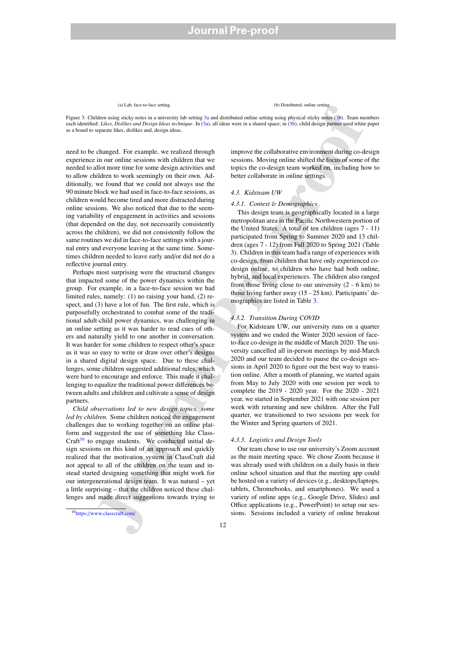# (a) Lab, face-to-face setting. (b) Distributed, online setting.

Figure 3: Children using sticky notes in a university lab setting 3a and distributed online setting using physical sticky notes (3b). Team members each identified: *Likes, Dislikes and Design Ideas technique*. In (3a), all ideas were in a shared space; in (3b), child design partner used white paper as a board to separate likes, dislikes and, design ideas.

need to be changed. For example, we realized through experience in our online sessions with children that we needed to allot more time for some design activities and to allow children to work seemingly on their own. Additionally, we found that we could not always use the 90 minute block we had used in face-to-face sessions, as children would become tired and more distracted during online sessions. We also noticed that due to the seeming variability of engagement in activities and sessions (that depended on the day, not necessarily consistently across the children), we did not consistently follow the same routines we did in face-to-face settings with a journal entry and everyone leaving at the same time. Sometimes children needed to leave early and/or did not do a reflective journal entry.

(o) Internetion the same of the particular state  $\frac{1}{2}$  2 3. The same of the same of the same of the same of the same of the same of the same of the same of the same of the same of the same of the same of the same of t Perhaps most surprising were the structural changes that impacted some of the power dynamics within the group. For example, in a face-to-face session we had limited rules, namely: (1) no raising your hand, (2) respect, and (3) have a lot of fun. The first rule, which is purposefully orchestrated to combat some of the traditional adult-child power dynamics, was challenging in an online setting as it was harder to read cues of others and naturally yield to one another in conversation. It was harder for some children to respect other's space as it was so easy to write or draw over other's designs in a shared digital design space. Due to these challenges, some children suggested additional rules, which were hard to encourage and enforce. This made it challenging to equalize the traditional power differences between adults and children and cultivate a sense of design partners.

*Child observations led to new design topics, some led by children.* Some children noticed the engagement challenges due to working together on an online platform and suggested the use of something like Class-Craft<sup>16</sup> to engage students. We conducted initial design sessions on this kind of an approach and quickly realized that the motivation system in ClassCraft did not appeal to all of the children on the team and instead started designing something that might work for our intergenerational design team. It was natural – yet a little surprising – that the children noticed these challenges and made direct suggestions towards trying to

<sup>16</sup>https://www.classcraft.com/

improve the collaborative environment during co-design sessions. Moving online shifted the focus of some of the topics the co-design team worked on, including how to better collaborate in online settings.

#### *4.3. Kidsteam UW*

#### *4.3.1. Context* & *Demographics*

This design team is geographically located in a large metropolitan area in the Pacific Northwestern portion of the United States. A total of ten children (ages 7 - 11) participated from Spring to Summer 2020 and 13 children (ages 7 - 12) from Fall 2020 to Spring 2021 (Table 3). Children in this team had a range of experiences with co-design, from children that have only experienced codesign online, to children who have had both online, hybrid, and local experiences. The children also ranged from those living close to our university (2 - 6 km) to those living farther away (15 - 25 km). Participants' demographics are listed in Table 3.

#### *4.3.2. Transition During COVID*

For Kidsteam UW, our university runs on a quarter system and we ended the Winter 2020 session of faceto-face co-design in the middle of March 2020. The university cancelled all in-person meetings by mid-March 2020 and our team decided to pause the co-design sessions in April 2020 to figure out the best way to transition online. After a month of planning, we started again from May to July 2020 with one session per week to complete the 2019 - 2020 year. For the 2020 - 2021 year, we started in September 2021 with one session per week with returning and new children. After the Fall quarter, we transitioned to two sessions per week for the Winter and Spring quarters of 2021.

# *4.3.3. Logistics and Design Tools*

Our team chose to use our university's Zoom account as the main meeting space. We chose Zoom because it was already used with children on a daily basis in their online school situation and that the meeting app could be hosted on a variety of devices (e.g., desktops/laptops, tablets, Chromebooks, and smartphones). We used a variety of online apps (e.g., Google Drive, Slides) and Office applications (e.g., PowerPoint) to setup our sessions. Sessions included a variety of online breakout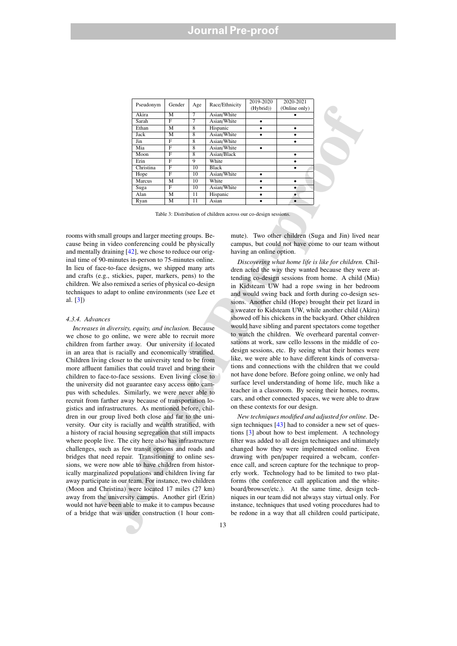| Pseudonym | Gender | Age | Race/Ethnicity | 2019-2020<br>(Hybrid)) | 2020-2021<br>(Online only) |
|-----------|--------|-----|----------------|------------------------|----------------------------|
| Akira     | M      | 7   | Asian/White    |                        |                            |
| Sarah     | F      | 7   | Asian/White    | ٠                      |                            |
| Ethan     | м      | 8   | Hispanic       |                        |                            |
| Jack      | М      | 8   | Asian/White    |                        |                            |
| Jin       | F      | 8   | Asian/White    |                        |                            |
| Mia       | F      | 8   | Asian/White    |                        |                            |
| Moon      | F      | 8   | Asian/Black    |                        |                            |
| Erin      | F      | 9   | White          |                        |                            |
| Christina | F      | 10  | <b>Black</b>   |                        |                            |
| Hope      | F      | 10  | Asian/White    | ٠                      |                            |
| Marcus    | M      | 10  | White          |                        |                            |
| Suga      | F      | 10  | Asian/White    |                        |                            |
| Alan      | M      | 11  | Hispanic       |                        | ٠                          |
| Ryan      | М      | 11  | Asian          |                        |                            |

Table 3: Distribution of children across our co-design sessions.

rooms with small groups and larger meeting groups. Because being in video conferencing could be physically and mentally draining [42], we chose to reduce our original time of 90-minutes in-person to 75-minutes online. In lieu of face-to-face designs, we shipped many arts and crafts (e.g., stickies, paper, markers, pens) to the children. We also remixed a series of physical co-design techniques to adapt to online environments (see Lee et al. [3])

#### *4.3.4. Advances*

Pseudows (Recentled Contained Theorem and read Pseudows (Collectom)) (Online only)<br>
Antimation Scheme and The Contained Contained Contained Contained Contained Contained Contained Contained Contained Contained Contained C *Increases in diversity, equity, and inclusion.* Because we chose to go online, we were able to recruit more children from farther away. Our university if located in an area that is racially and economically stratified. Children living closer to the university tend to be from more affluent families that could travel and bring their children to face-to-face sessions. Even living close to the university did not guarantee easy access onto campus with schedules. Similarly, we were never able to recruit from farther away because of transportation logistics and infrastructures. As mentioned before, children in our group lived both close and far to the university. Our city is racially and wealth stratified, with a history of racial housing segregation that still impacts where people live. The city here also has infrastructure challenges, such as few transit options and roads and bridges that need repair. Transitioning to online sessions, we were now able to have children from historically marginalized populations and children living far away participate in our team. For instance, two children (Moon and Christina) were located 17 miles (27 km) away from the university campus. Another girl (Erin) would not have been able to make it to campus because of a bridge that was under construction (1 hour com-

mute). Two other children (Suga and Jin) lived near campus, but could not have come to our team without having an online option.

*Discovering what home life is like for children.* Children acted the way they wanted because they were attending co-design sessions from home. A child (Mia) in Kidsteam UW had a rope swing in her bedroom and would swing back and forth during co-design sessions. Another child (Hope) brought their pet lizard in a sweater to Kidsteam UW, while another child (Akira) showed off his chickens in the backyard. Other children would have sibling and parent spectators come together to watch the children. We overheard parental conversations at work, saw cello lessons in the middle of codesign sessions, etc. By seeing what their homes were like, we were able to have different kinds of conversations and connections with the children that we could not have done before. Before going online, we only had surface level understanding of home life, much like a teacher in a classroom. By seeing their homes, rooms, cars, and other connected spaces, we were able to draw on these contexts for our design.

*New techniques modified and adjusted for online.* Design techniques [43] had to consider a new set of questions [3] about how to best implement. A technology filter was added to all design techniques and ultimately changed how they were implemented online. Even drawing with pen/paper required a webcam, conference call, and screen capture for the technique to properly work. Technology had to be limited to two platforms (the conference call application and the whiteboard/browser/etc.). At the same time, design techniques in our team did not always stay virtual only. For instance, techniques that used voting procedures had to be redone in a way that all children could participate,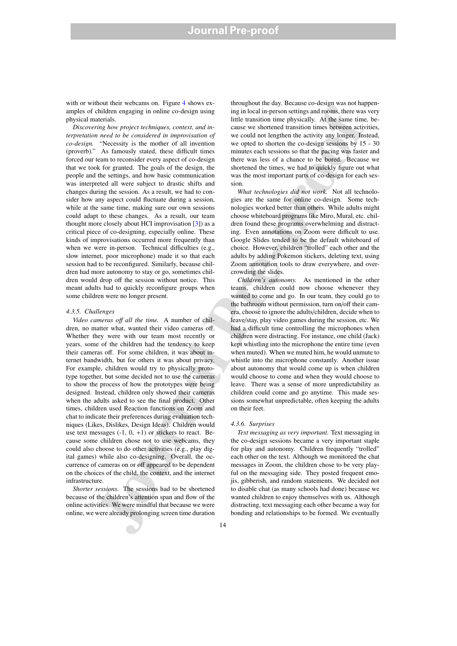with or without their webcams on. Figure 4 shows examples of children engaging in online co-design using physical materials.

abilitation environmental in equilibrium and the second interaction and the second in the second interaction and the second interaction and the second interaction and the second interaction and the second interaction and *Discovering how project techniques, context, and interpretation need to be considered in improvisation of co-design.* "Necessity is the mother of all invention (proverb)." As famously stated, these difficult times forced our team to reconsider every aspect of co-design that we took for granted. The goals of the design, the people and the settings, and how basic communication was interpreted all were subject to drastic shifts and changes during the session. As a result, we had to consider how any aspect could fluctuate during a session, while at the same time, making sure our own sessions could adapt to these changes. As a result, our team thought more closely about HCI improvisation [3]) as a critical piece of co-designing, especially online. These kinds of improvisations occurred more frequently than when we were in-person. Technical difficulties (e.g., slow internet, poor microphone) made it so that each session had to be reconfigured. Similarly, because children had more autonomy to stay or go, sometimes children would drop off the session without notice. This meant adults had to quickly reconfigure groups when some children were no longer present.

#### *4.3.5. Challenges*

*Video cameras o*ff *all the time.* A number of children, no matter what, wanted their video cameras off. Whether they were with our team most recently or years, some of the children had the tendency to keep their cameras off. For some children, it was about internet bandwidth, but for others it was about privacy. For example, children would try to physically prototype together, but some decided not to use the cameras to show the process of how the prototypes were being designed. Instead, children only showed their cameras when the adults asked to see the final product. Other times, children used Reaction functions on Zoom and chat to indicate their preferences during evaluation techniques (Likes, Dislikes, Design Ideas). Children would use text messages  $(-1, 0, +1)$  or stickers to react. Because some children chose not to use webcams, they could also choose to do other activities (e.g., play digital games) while also co-designing. Overall, the occurrence of cameras on or off appeared to be dependent on the choices of the child, the context, and the internet infrastructure.

*Shorter sessions.* The sessions had to be shortened because of the children's attention span and flow of the online activities. We were mindful that because we were online, we were already prolonging screen time duration

throughout the day. Because co-design was not happening in local in-person settings and rooms, there was very little transition time physically. At the same time, because we shortened transition times between activities, we could not lengthen the activity any longer. Instead, we opted to shorten the co-design sessions by 15 - 30 minutes each sessions so that the pacing was faster and there was less of a chance to be bored. Because we shortened the times, we had to quickly figure out what was the most important parts of co-design for each session.

*What technologies did not work.* Not all technologies are the same for online co-design. Some technologies worked better than others. While adults might choose whiteboard programs like Miro, Mural, etc. children found these programs overwhelming and distracting. Even annotations on Zoom were difficult to use. Google Slides tended to be the default whiteboard of choice. However, children "trolled" each other and the adults by adding Pokemon stickers, deleting text, using Zoom annotation tools to draw everywhere, and overcrowding the slides.

*Children's autonomy.* As mentioned in the other teams, children could now choose whenever they wanted to come and go. In our team, they could go to the bathroom without permission, turn on/off their camera, choose to ignore the adults/children, decide when to leave/stay, play video games during the session, etc. We had a difficult time controlling the microphones when children were distracting. For instance, one child (Jack) kept whistling into the microphone the entire time (even when muted). When we muted him, he would unmute to whistle into the microphone constantly. Another issue about autonomy that would come up is when children would choose to come and when they would choose to leave. There was a sense of more unpredictability as children could come and go anytime. This made sessions somewhat unpredictable, often keeping the adults on their feet.

### *4.3.6. Surprises*

*Text messaging as very important.* Text messaging in the co-design sessions became a very important staple for play and autonomy. Children frequently "trolled" each other on the text. Although we monitored the chat messages in Zoom, the children chose to be very playful on the messaging side. They posted frequent emojis, gibberish, and random statements. We decided not to disable chat (as many schools had done) because we wanted children to enjoy themselves with us. Although distracting, text messaging each other became a way for bonding and relationships to be formed. We eventually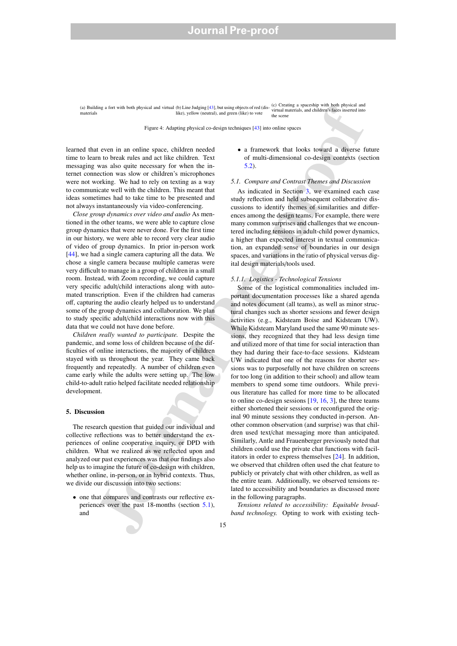(a) Building a fort with both physical and virtual (b) Line Judging [43], but using objects of red (dis-<br>materials, and children's faces inserted into<br>materials, and children's faces inserted into materials like), yellow (neutral), and green (like) to vote the scen

Figure 4: Adapting physical co-design techniques [43] into online spaces

learned that even in an online space, children needed time to learn to break rules and act like children. Text messaging was also quite necessary for when the internet connection was slow or children's microphones were not working. We had to rely on texting as a way to communicate well with the children. This meant that ideas sometimes had to take time to be presented and not always instantaneously via video-conferencing.

*Close group dynamics over video and audio* As mentioned in the other teams, we were able to capture close group dynamics that were never done. For the first time in our history, we were able to record very clear audio of video of group dynamics. In prior in-person work [44], we had a single camera capturing all the data. We chose a single camera because multiple cameras were very difficult to manage in a group of children in a small room. Instead, with Zoom recording, we could capture very specific adult/child interactions along with automated transcription. Even if the children had cameras off, capturing the audio clearly helped us to understand some of the group dynamics and collaboration. We plan to study specific adult/child interactions now with this data that we could not have done before.

*Children really wanted to participate.* Despite the pandemic, and some loss of children because of the difficulties of online interactions, the majority of children stayed with us throughout the year. They came back frequently and repeatedly. A number of children even came early while the adults were setting up. The low child-to-adult ratio helped facilitate needed relationship development.

## 5. Discussion

The research question that guided our individual and collective reflections was to better understand the experiences of online cooperative inquiry, or DPD with children. What we realized as we reflected upon and analyzed our past experiences was that our findings also help us to imagine the future of co-design with children, whether online, in-person, or in hybrid contexts. Thus, we divide our discussion into two sections:

• one that compares and contrasts our reflective experiences over the past 18-months (section 5.1), and

• a framework that looks toward a diverse future of multi-dimensional co-design contexts (section 5.2).

## *5.1. Compare and Contrast Themes and Discussion*

As indicated in Section 3, we examined each case study reflection and held subsequent collaborative discussions to identify themes of similarities and differences among the design teams. For example, there were many common surprises and challenges that we encountered including tensions in adult-child power dynamics, a higher than expected interest in textual communication, an expanded sense of boundaries in our design spaces, and variations in the ratio of physical versus digital design materials/tools used.

#### *5.1.1. Logistics - Technological Tensions*

any a one win both possid and since the busine particular busines particular business the other since the since the since the since the since the since the since the since the since the since the since the since the since Some of the logistical commonalities included important documentation processes like a shared agenda and notes document (all teams), as well as minor structural changes such as shorter sessions and fewer design activities (e.g., Kidsteam Boise and Kidsteam UW). While Kidsteam Maryland used the same 90 minute sessions, they recognized that they had less design time and utilized more of that time for social interaction than they had during their face-to-face sessions. Kidsteam UW indicated that one of the reasons for shorter sessions was to purposefully not have children on screens for too long (in addition to their school) and allow team members to spend some time outdoors. While previous literature has called for more time to be allocated to online co-design sessions [19, 16, 3], the three teams either shortened their sessions or reconfigured the original 90 minute sessions they conducted in-person. Another common observation (and surprise) was that children used text/chat messaging more than anticipated. Similarly, Antle and Frauenberger previously noted that children could use the private chat functions with facilitators in order to express themselves [24]. In addition, we observed that children often used the chat feature to publicly or privately chat with other children, as well as the entire team. Additionally, we observed tensions related to accessibility and boundaries as discussed more in the following paragraphs.

*Tensions related to accessibility: Equitable broadband technology.* Opting to work with existing tech-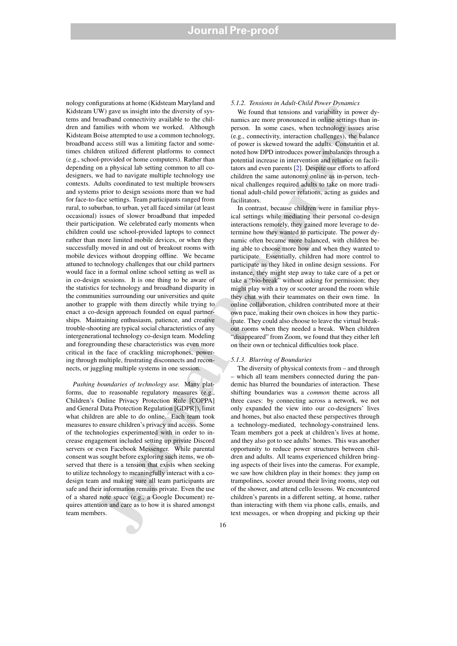TWD above the interest in the deterministics of the main of the main of the main of the main of the main of the main of the main of the main of the main of the main of the main of the main of the main of the main of the m nology configurations at home (Kidsteam Maryland and Kidsteam UW) gave us insight into the diversity of systems and broadband connectivity available to the children and families with whom we worked. Although Kidsteam Boise attempted to use a common technology, broadband access still was a limiting factor and sometimes children utilized different platforms to connect (e.g., school-provided or home computers). Rather than depending on a physical lab setting common to all codesigners, we had to navigate multiple technology use contexts. Adults coordinated to test multiple browsers and systems prior to design sessions more than we had for face-to-face settings. Team participants ranged from rural, to suburban, to urban, yet all faced similar (at least occasional) issues of slower broadband that impeded their participation. We celebrated early moments when children could use school-provided laptops to connect rather than more limited mobile devices, or when they successfully moved in and out of breakout rooms with mobile devices without dropping offline. We became attuned to technology challenges that our child partners would face in a formal online school setting as well as in co-design sessions. It is one thing to be aware of the statistics for technology and broadband disparity in the communities surrounding our universities and quite another to grapple with them directly while trying to enact a co-design approach founded on equal partnerships. Maintaining enthusiasm, patience, and creative trouble-shooting are typical social characteristics of any intergenerational technology co-design team. Modeling and foregrounding these characteristics was even more critical in the face of crackling microphones, powering through multiple, frustrating disconnects and reconnects, or juggling multiple systems in one session.

*Pushing boundaries of technology use.* Many platforms, due to reasonable regulatory measures (e.g., Children's Online Privacy Protection Rule [COPPA] and General Data Protection Regulation [GDPR]), limit what children are able to do online. Each team took measures to ensure children's privacy and access. Some of the technologies experimented with in order to increase engagement included setting up private Discord servers or even Facebook Messenger. While parental consent was sought before exploring such items, we observed that there is a tension that exists when seeking to utilize technology to meaningfully interact with a codesign team and making sure all team participants are safe and their information remains private. Even the use of a shared note space (e.g., a Google Document) requires attention and care as to how it is shared amongst team members.

#### *5.1.2. Tensions in Adult-Child Power Dynamics*

We found that tensions and variability in power dynamics are more pronounced in online settings than inperson. In some cases, when technology issues arise (e.g., connectivity, interaction challenges), the balance of power is skewed toward the adults. Constantin et al. noted how DPD introduces power imbalances through a potential increase in intervention and reliance on facilitators and even parents [2]. Despite our efforts to afford children the same autonomy online as in-person, technical challenges required adults to take on more traditional adult-child power relations, acting as guides and facilitators.

In contrast, because children were in familiar physical settings while mediating their personal co-design interactions remotely, they gained more leverage to determine how they wanted to participate. The power dynamic often became more balanced, with children being able to choose more how and when they wanted to participate. Essentially, children had more control to participate as they liked in online design sessions. For instance, they might step away to take care of a pet or take a "bio-break" without asking for permission; they might play with a toy or scooter around the room while they chat with their teammates on their own time. In online collaboration, children contributed more at their own pace, making their own choices in how they participate. They could also choose to leave the virtual breakout rooms when they needed a break. When children "disappeared" from Zoom, we found that they either left on their own or technical difficulties took place.

# *5.1.3. Blurring of Boundaries*

The diversity of physical contexts from – and through which all team members connected during the pandemic has blurred the boundaries of interaction. These shifting boundaries was a *common* theme across all three cases: by connecting across a network, we not only expanded the view into our co-designers' lives and homes, but also enacted these perspectives through a technology-mediated, technology-constrained lens. Team members got a peek at children's lives at home, and they also got to see adults' homes. This was another opportunity to reduce power structures between children and adults. All teams experienced children bringing aspects of their lives into the cameras. For example, we saw how children play in their homes: they jump on trampolines, scooter around their living rooms, step out of the shower, and attend cello lessons. We encountered children's parents in a different setting, at home, rather than interacting with them via phone calls, emails, and text messages, or when dropping and picking up their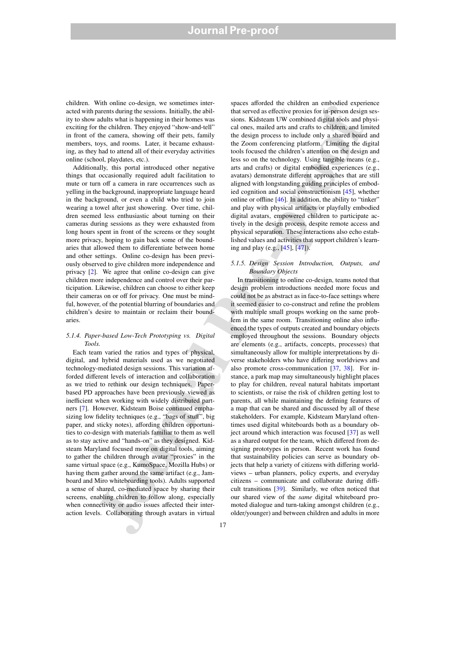# **Journal Pre-proof**

children. With online co-design, we sometimes interacted with parents during the sessions. Initially, the ability to show adults what is happening in their homes was exciting for the children. They enjoyed "show-and-tell" in front of the camera, showing off their pets, family members, toys, and rooms. Later, it became exhausting, as they had to attend all of their everyday activities online (school, playdates, etc.).

Additionally, this portal introduced other negative things that occasionally required adult facilitation to mute or turn off a camera in rare occurrences such as yelling in the background, inappropriate language heard in the background, or even a child who tried to join wearing a towel after just showering. Over time, children seemed less enthusiastic about turning on their cameras during sessions as they were exhausted from long hours spent in front of the screens or they sought more privacy, hoping to gain back some of the boundaries that allowed them to differentiate between home and other settings. Online co-design has been previously observed to give children more independence and privacy [2]. We agree that online co-design can give children more independence and control over their participation. Likewise, children can choose to either keep their cameras on or off for privacy. One must be mindful, however, of the potential blurring of boundaries and children's desire to maintain or reclaim their boundaries.

# *5.1.4. Paper-based Low-Tech Prototyping vs. Digital Tools.*

Each team varied the ratios and types of physical, digital, and hybrid materials used as we negotiated technology-mediated design sessions. This variation afforded different levels of interaction and collaboration as we tried to rethink our design techniques. Paperbased PD approaches have been previously viewed as inefficient when working with widely distributed partners [7]. However, Kidsteam Boise continued emphasizing low fidelity techniques (e.g., "bags of stuff", big paper, and sticky notes), affording children opportunities to co-design with materials familiar to them as well as to stay active and "hands-on" as they designed. Kidsteam Maryland focused more on digital tools, aiming to gather the children through avatar "proxies" in the same virtual space (e.g., KumoSpace, Mozilla Hubs) or having them gather around the same artifact (e.g., Jamboard and Miro whiteboarding tools). Adults supported a sense of shared, co-mediated space by sharing their screens, enabling children to follow along, especially when connectivity or audio issues affected their interaction levels. Collaborating through avatars in virtual

spaces afforded the children an embodied experience that served as effective proxies for in-person design sessions. Kidsteam UW combined digital tools and physical ones, mailed arts and crafts to children, and limited the design process to include only a shared board and the Zoom conferencing platform. Limiting the digital tools focused the children's attention on the design and less so on the technology. Using tangible means (e.g., arts and crafts) or digital embodied experiences (e.g., avatars) demonstrate different approaches that are still aligned with longstanding guiding principles of embodied cognition and social constructionism [45], whether online or offline [46]. In addition, the ability to "tinker" and play with physical artifacts or playfully embodied digital avatars, empowered children to participate actively in the design process, despite remote access and physical separation. These interactions also echo established values and activities that support children's learning and play (e.g., [45], [47]).

# *5.1.5. Design Session Introduction, Outputs, and Boundary Objects*

non matrix on the signal mapper, in the signal matrix and the signal matrix and the signal matrix and the signal matrix and the signal matrix and the signal matrix and the signal matrix and the signal matrix and the signa In transitioning to online co-design, teams noted that design problem introductions needed more focus and could not be as abstract as in face-to-face settings where it seemed easier to co-construct and refine the problem with multiple small groups working on the same problem in the same room. Transitioning online also influenced the types of outputs created and boundary objects employed throughout the sessions. Boundary objects are elements (e.g., artifacts, concepts, processes) that simultaneously allow for multiple interpretations by diverse stakeholders who have differing worldviews and also promote cross-communication [37, 38]. For instance, a park map may simultaneously highlight places to play for children, reveal natural habitats important to scientists, or raise the risk of children getting lost to parents, all while maintaining the defining features of a map that can be shared and discussed by all of these stakeholders. For example, Kidsteam Maryland oftentimes used digital whiteboards both as a boundary object around which interaction was focused [37] as well as a shared output for the team, which differed from designing prototypes in person. Recent work has found that sustainability policies can serve as boundary objects that help a variety of citizens with differing worldviews – urban planners, policy experts, and everyday citizens – communicate and collaborate during difficult transitions [39]. Similarly, we often noticed that our shared view of the *same* digital whiteboard promoted dialogue and turn-taking amongst children (e.g., older/younger) and between children and adults in more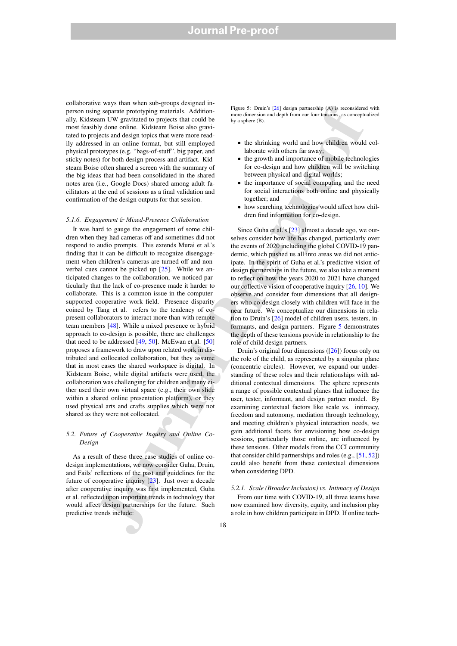collaborative ways than when sub-groups designed inperson using separate prototyping materials. Additionally, Kidsteam UW gravitated to projects that could be most feasibly done online. Kidsteam Boise also gravitated to projects and design topics that were more readily addressed in an online format, but still employed physical prototypes (e.g. "bags-of-stuff", big paper, and sticky notes) for both design process and artifact. Kidsteam Boise often shared a screen with the summary of the big ideas that had been consolidated in the shared notes area (i.e., Google Docs) shared among adult facilitators at the end of sessions as a final validation and confirmation of the design outputs for that session.

## *5.1.6. Engagement* & *Mixed-Presence Collaboration*

is exponentially the solid method in the solid method in the solid method in the solid method in the solid method in the solid method in the solid method in the solid method in the solid method in the solid method in the It was hard to gauge the engagement of some children when they had cameras off and sometimes did not respond to audio prompts. This extends Murai et al.'s finding that it can be difficult to recognize disengagement when children's cameras are turned off and nonverbal cues cannot be picked up [25]. While we anticipated changes to the collaboration, we noticed particularly that the lack of co-presence made it harder to collaborate. This is a common issue in the computersupported cooperative work field. Presence disparity coined by Tang et al. refers to the tendency of copresent collaborators to interact more than with remote team members [48]. While a mixed presence or hybrid approach to co-design is possible, there are challenges that need to be addressed  $[49, 50]$ . McEwan et al.  $[50]$ proposes a framework to draw upon related work in distributed and collocated collaboration, but they assume that in most cases the shared workspace is digital. In Kidsteam Boise, while digital artifacts were used, the collaboration was challenging for children and many either used their own virtual space (e.g., their own slide within a shared online presentation platform), or they used physical arts and crafts supplies which were not shared as they were not collocated.

# *5.2. Future of Cooperative Inquiry and Online Co-Design*

As a result of these three case studies of online codesign implementations, we now consider Guha, Druin, and Fails' reflections of the past and guidelines for the future of cooperative inquiry [23]. Just over a decade after cooperative inquiry was first implemented, Guha et al. reflected upon important trends in technology that would affect design partnerships for the future. Such predictive trends include:

Figure 5: Druin's [26] design partnership (A) is reconsidered with more dimension and depth from our four tensions, as conceptualized by a sphere (B).

- the shrinking world and how children would collaborate with others far away;
- the growth and importance of mobile technologies for co-design and how children will be switching between physical and digital worlds;
- the importance of social computing and the need for social interactions both online and physically together; and
- how searching technologies would affect how children find information for co-design.

Since Guha et al.'s [23] almost a decade ago, we ourselves consider how life has changed, particularly over the events of 2020 including the global COVID-19 pandemic, which pushed us all into areas we did not anticipate. In the spirit of Guha et al.'s predictive vision of design partnerships in the future, we also take a moment to reflect on how the years 2020 to 2021 have changed our collective vision of cooperative inquiry [26, 10]. We observe and consider four dimensions that all designers who co-design closely with children will face in the near future. We conceptualize our dimensions in relation to Druin's [26] model of children users, testers, informants, and design partners. Figure 5 demonstrates the depth of these tensions provide in relationship to the role of child design partners.

Druin's original four dimensions ([26]) focus only on the role of the child, as represented by a singular plane (concentric circles). However, we expand our understanding of these roles and their relationships with additional contextual dimensions. The sphere represents a range of possible contextual planes that influence the user, tester, informant, and design partner model. By examining contextual factors like scale vs. intimacy, freedom and autonomy, mediation through technology, and meeting children's physical interaction needs, we gain additional facets for envisioning how co-design sessions, particularly those online, are influenced by these tensions. Other models from the CCI community that consider child partnerships and roles (e.g., [51, 52]) could also benefit from these contextual dimensions when considering DPD.

# *5.2.1. Scale (Broader Inclusion) vs. Intimacy of Design* From our time with COVID-19, all three teams have now examined how diversity, equity, and inclusion play a role in how children participate in DPD. If online tech-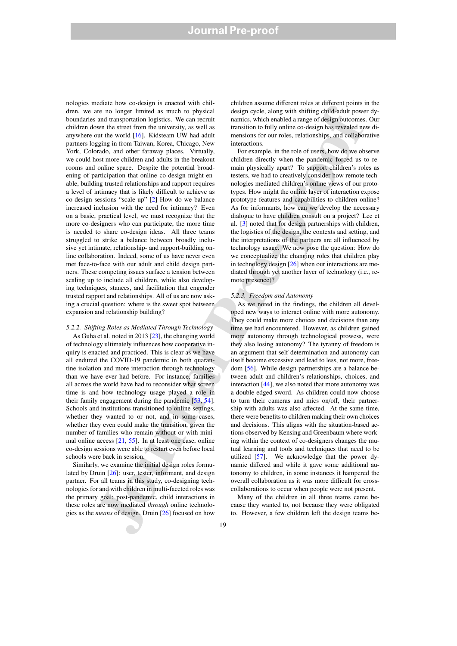and the method in the same of the method in the same of the same of the same of the same of the same of the same of the same of the same of the same of the same of the same of the same of the same of the same of the same nologies mediate how co-design is enacted with children, we are no longer limited as much to physical boundaries and transportation logistics. We can recruit children down the street from the university, as well as anywhere out the world [16]. Kidsteam UW had adult partners logging in from Taiwan, Korea, Chicago, New York, Colorado, and other faraway places. Virtually, we could host more children and adults in the breakout rooms and online space. Despite the potential broadening of participation that online co-design might enable, building trusted relationships and rapport requires a level of intimacy that is likely difficult to achieve as co-design sessions "scale up" [2] How do we balance increased inclusion with the need for intimacy? Even on a basic, practical level, we must recognize that the more co-designers who can participate, the more time is needed to share co-design ideas. All three teams struggled to strike a balance between broadly inclusive yet intimate, relationship- and rapport-building online collaboration. Indeed, some of us have never even met face-to-face with our adult and child design partners. These competing issues surface a tension between scaling up to include all children, while also developing techniques, stances, and facilitation that engender trusted rapport and relationships. All of us are now asking a crucial question: where is the sweet spot between expansion and relationship building?

*5.2.2. Shifting Roles as Mediated Through Technology* As Guha et al. noted in 2013 [23], the changing world of technology ultimately influences how cooperative inquiry is enacted and practiced. This is clear as we have all endured the COVID-19 pandemic in both quarantine isolation and more interaction through technology than we have ever had before. For instance, families all across the world have had to reconsider what screen time is and how technology usage played a role in their family engagement during the pandemic [53, 54]. Schools and institutions transitioned to online settings, whether they wanted to or not, and in some cases, whether they even could make the transition, given the number of families who remain without or with minimal online access [21, 55]. In at least one case, online co-design sessions were able to restart even before local schools were back in session.

Similarly, we examine the initial design roles formulated by Druin [26]: user, tester, informant, and design partner. For all teams in this study, co-designing technologies for and with children in multi-faceted roles was the primary goal; post-pandemic, child interactions in these roles are now mediated *through* online technologies as the *means* of design. Druin [26] focused on how

children assume different roles at different points in the design cycle, along with shifting child-adult power dynamics, which enabled a range of design outcomes. Our transition to fully online co-design has revealed new dimensions for our roles, relationships, and collaborative interactions.

For example, in the role of users, how do we observe children directly when the pandemic forced us to remain physically apart? To support children's roles as testers, we had to creatively consider how remote technologies mediated children's online views of our prototypes. How might the online layer of interaction expose prototype features and capabilities to children online? As for informants, how can we develop the necessary dialogue to have children consult on a project? Lee et al. [3] noted that for design partnerships with children, the logistics of the design, the contexts and setting, and the interpretations of the partners are all influenced by technology usage. We now pose the question: How do we conceptualize the changing roles that children play in technology design [26] when our interactions are mediated through yet another layer of technology (i.e., remote presence)?

#### *5.2.3. Freedom and Autonomy*

As we noted in the findings, the children all developed new ways to interact online with more autonomy. They could make more choices and decisions than any time we had encountered. However, as children gained more autonomy through technological prowess, were they also losing autonomy? The tyranny of freedom is an argument that self-determination and autonomy can itself become excessive and lead to less, not more, freedom [56]. While design partnerships are a balance between adult and children's relationships, choices, and interaction [44], we also noted that more autonomy was a double-edged sword. As children could now choose to turn their cameras and mics on/off, their partnership with adults was also affected. At the same time, there were benefits to children making their own choices and decisions. This aligns with the situation-based actions observed by Kensing and Greenbaum where working within the context of co-designers changes the mutual learning and tools and techniques that need to be utilized [57]. We acknowledge that the power dynamic differed and while it gave some additional autonomy to children, in some instances it hampered the overall collaboration as it was more difficult for crosscollaborations to occur when people were not present.

Many of the children in all three teams came because they wanted to, not because they were obligated to. However, a few children left the design teams be-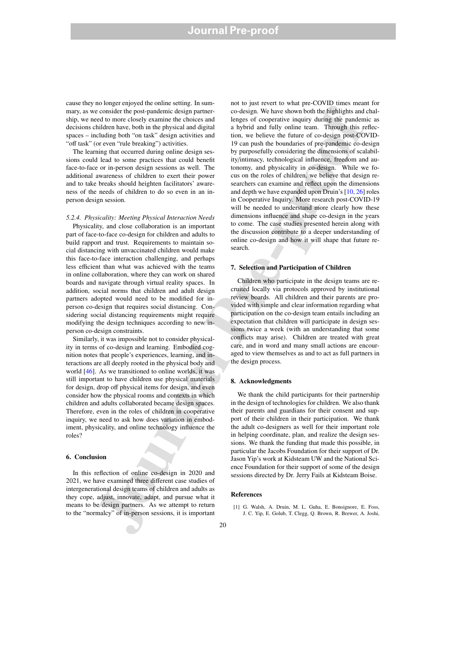# **Journal Pre-proof**

cause they no longer enjoyed the online setting. In summary, as we consider the post-pandemic design partnership, we need to more closely examine the choices and decisions children have, both in the physical and digital spaces – including both "on task" design activities and "off task" (or even "rule breaking") activities.

The learning that occurred during online design sessions could lead to some practices that could benefit face-to-face or in-person design sessions as well. The additional awareness of children to exert their power and to take breaks should heighten facilitators' awareness of the needs of children to do so even in an inperson design session.

# *5.2.4. Physicality: Meeting Physical Interaction Needs*

Physicality, and close collaboration is an important part of face-to-face co-design for children and adults to build rapport and trust. Requirements to maintain social distancing with unvaccinated children would make this face-to-face interaction challenging, and perhaps less efficient than what was achieved with the teams in online collaboration, where they can work on shared boards and navigate through virtual reality spaces. In addition, social norms that children and adult design partners adopted would need to be modified for inperson co-design that requires social distancing. Considering social distancing requirements might require modifying the design techniques according to new inperson co-design constraints.

Similarly, it was impossible not to consider physicality in terms of co-design and learning. Embodied cognition notes that people's experiences, learning, and interactions are all deeply rooted in the physical body and world [46]. As we transitioned to online worlds, it was still important to have children use physical materials for design, drop off physical items for design, and even consider how the physical rooms and contexts in which children and adults collaborated became design spaces. Therefore, even in the roles of children in cooperative inquiry, we need to ask how does variation in embodiment, physicality, and online technology influence the roles?

# 6. Conclusion

In this reflection of online co-design in 2020 and 2021, we have examined three different case studies of intergenerational design teams of children and adults as they cope, adjust, innovate, adapt, and pursue what it means to be design partners. As we attempt to return to the "normalcy" of in-person sessions, it is important

no consider the physical and distribute the state in the state of the state of the state in the state of the state of the state of the state of the state of the state of the state of the state of the state of the state of not to just revert to what pre-COVID times meant for co-design. We have shown both the highlights and challenges of cooperative inquiry during the pandemic as a hybrid and fully online team. Through this reflection, we believe the future of co-design post-COVID-19 can push the boundaries of pre-pandemic co-design by purposefully considering the dimensions of scalability/intimacy, technological influence, freedom and autonomy, and physicality in co-design. While we focus on the roles of children, we believe that design researchers can examine and reflect upon the dimensions and depth we have expanded upon Druin's [10, 26] roles in Cooperative Inquiry. More research post-COVID-19 will be needed to understand more clearly how these dimensions influence and shape co-design in the years to come. The case studies presented herein along with the discussion contribute to a deeper understanding of online co-design and how it will shape that future research.

# 7. Selection and Participation of Children

Children who participate in the design teams are recruited locally via protocols approved by institutional review boards. All children and their parents are provided with simple and clear information regarding what participation on the co-design team entails including an expectation that children will participate in design sessions twice a week (with an understanding that some conflicts may arise). Children are treated with great care, and in word and many small actions are encouraged to view themselves as and to act as full partners in the design process.

# 8. Acknowledgments

We thank the child participants for their partnership in the design of technologies for children. We also thank their parents and guardians for their consent and support of their children in their participation. We thank the adult co-designers as well for their important role in helping coordinate, plan, and realize the design sessions. We thank the funding that made this possible, in particular the Jacobs Foundation for their support of Dr. Jason Yip's work at Kidsteam UW and the National Science Foundation for their support of some of the design sessions directed by Dr. Jerry Fails at Kidsteam Boise.

# References

[1] G. Walsh, A. Druin, M. L. Guha, E. Bonsignore, E. Foss, J. C. Yip, E. Golub, T. Clegg, Q. Brown, R. Brewer, A. Joshi,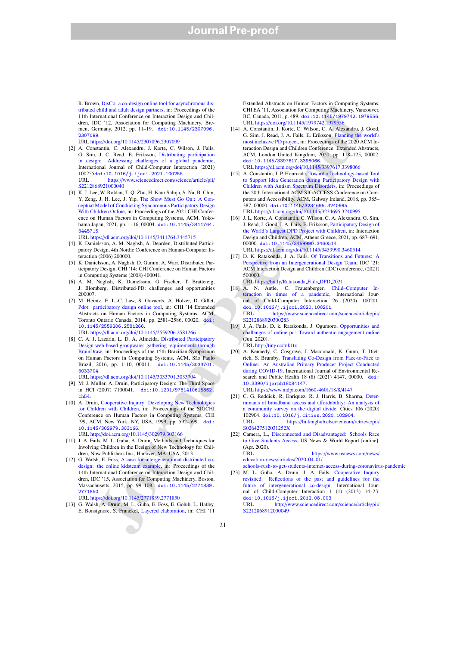R. Brown, DisCo: a co-design online tool for asynchronous distributed child and adult design partners, in: Proceedings of the 11th International Conference on Interaction Design and Children, IDC '12, Association for Computing Machinery, Bremen, Germany, 2012, pp. 11–19. doi:10.1145/2307096. 2307099.

URL https://doi.org/10.1145/2307096.2307099

- [2] A. Constantin, C. Alexandru, J. Korte, C. Wilson, J. Fails, G. Sim, J. C. Read, E. Eriksson, Distributing participation in design: Addressing challenges of a global pandemic, International Journal of Child-Computer Interaction (2021)  $100255d$ oi:10.1016/j.ijcci.2021.100255.<br>IIRL https://www.sciencedirect.com/science https://www.sciencedirect.com/science/article/pii/ S2212868921000040
- [3] K. J. Lee, W. Roldan, T. Q. Zhu, H. Kaur Saluja, S. Na, B. Chin, Y. Zeng, J. H. Lee, J. Yip, The Show Must Go On:: A Conceptual Model of Conducting Synchronous Participatory Design With Children Online, in: Proceedings of the 2021 CHI Conference on Human Factors in Computing Systems, ACM, Yokohama Japan, 2021, pp. 1-16, 00004. doi:10.1145/3411764. 3445715.

URL https://dl.acm.org/doi/10.1145/3411764.3445715

- [4] K. Danielsson, A. M. Naghsh, A. Dearden, Distributed Participatory Design, 4th Nordic Conference on Human-Computer Interaction (2006) 200000.
- [5] K. Danielsson, A. Naghsh, D. Gumm, A. Warr, Distributed Participatory Design, CHI '14: CHI Conference on Human Factors in Computing Systems (2008) 400041.
- [6] A. M. Naghsh, K. Danielsson, G. Fischer, T. Bratteteig, J. Blomberg, Distributed-PD: challenges and opportunities 200007.
- [7] M. Heintz, E. L.-C. Law, S. Govaerts, A. Holzer, D. Gillet, Pdot: participatory design online tool, in: CHI '14 Extended Abstracts on Human Factors in Computing Systems, ACM, Toronto Ontario Canada, 2014, pp. 2581–2586, 00020. doi: 10.1145/2559206.2581266. URL https://dl.acm.org/doi/10.1145/2559206.2581266

- [8] C. A. J. Lazarin, L. D. A. Almeida, Distributed Participatory Design web-based groupware: gathering requirements through BrainDraw, in: Proceedings of the 15th Brazilian Symposium on Human Factors in Computing Systems, ACM, São Paulo Brazil, 2016, pp. 1–10, 00011. doi:10.1145/3033701. 3033704.
- URL https://dl.acm.org/doi/10.1145/3033701.3033704
- [9] M. J. Muller, A. Druin, Participatory Design: The Third Space in HCI (2007) 7100041. doi:10.1201/9781410615862. ch54.
- [10] A. Druin, Cooperative Inquiry: Developing New Technolog for Children with Children, in: Proceedings of the SIGCHI Conference on Human Factors in Computing Systems, CHI '99, ACM, New York, NY, USA, 1999, pp. 592–599. doi: 10.1145/302979.303166.

URL http://doi.acm.org/10.1145/302979.303166

- [11] J. A. Fails, M. L. Guha, A. Druin, Methods and Techniques for Involving Children in the Design of New Technology for Children, Now Publishers Inc., Hanover, MA, USA, 2013.
- [12] G. Walsh, E. Foss, A case for intergenerational distributed codesign: the online kidsteam example, in: Proceedings of the 14th International Conference on Interaction Design and Children, IDC '15, Association for Computing Machinery, Boston, Massachusetts, 2015, pp. 99-108. doi:10.1145/2771839. 2771850.

URL https://doi.org/10.1145/2771839.2771850

[13] G. Walsh, A. Druin, M. L. Guha, E. Foss, E. Golub, L. Hatley, E. Bonsignore, S. Franckel, Layered elaboration, in: CHI '11

Extended Abstracts on Human Factors in Computing Systems, CHI EA '11, Association for Computing Machinery, Vancouver, BC, Canada, 2011, p. 489. doi:10.1145/1979742.1979556. URL https://doi.org/10.1145/1979742.1979556

- [14] A. Constantin, J. Korte, C. Wilson, C. A. Alexandru, J. Good, G. Sim, J. Read, J. A. Fails, E. Eriksson, Planning the world's most inclusive PD project, in: Proceedings of the 2020 ACM Interaction Design and Children Conference: Extended Abstracts, ACM, London United Kingdom, 2020, pp. 118–125, 00002. doi:10.1145/3397617.3398066. URL https://dl.acm.org/doi/10.1145/3397617.3398066
- (abilitation in the continuum of the continuum of the continuum of the continuum of the continuum of the continuum of the continuum of the continuum of the continuum of the continuum of the continuum of the continuum of [15] A. Constantin, J. P. Hourcade, Toward a Technology-based Tool to Support Idea Generation during Participatory Design with Children with Autism Spectrum Disorders, in: Proceedings of the 20th International ACM SIGACCESS Conference on Computers and Accessibility, ACM, Galway Ireland, 2018, pp. 385– 387, 00000. doi:10.1145/3234695.3240995. URL https://dl.acm.org/doi/10.1145/3234695.3240995
	- [16] J. L. Korte, A. Constantin, C. Wilson, C. A. Alexandru, G. Sim, J. Read, J. Good, J. A. Fails, E. Eriksson, Participatory Design of the World's Largest DPD Project with Children, in: Interaction Design and Children, ACM, Athens Greece, 2021, pp. 687–691, 00000. doi:10.1145/3459990.3460514. URL https://dl.acm.org/doi/10.1145/3459990.3460514
	- [17] D. K. Ratakonda, J. A. Fails, Of Transitions and Futures: A Perspective from an Intergenerational Design Team, IDC '21: ACM Interaction Design and Children (IDC) conference, (2021) 500000. URL https://bit.ly/Ratakonda Fails DPD 2021
	- [18] A. N. Antle, C. Frauenberger, Child–Computer Interaction in times of a pandemic, International Journal of Child-Computer Interaction 26 (2020) 100201.  $\frac{doi:10.1016}{j \text{.ijcci.2020.100201}}$ <br>URL https://www.sciencedirect.co

https://www.sciencedirect.com/science/article/pii/ S2212868920300283

[19] J. A. Fails, D. k. Ratakonda, J. Ogumoro, Opportunities and challenges of online pd: Toward authentic engagement online (Jun. 2020).

URL http://tiny.cc/tnk1tz

- [20] A. Kennedy, C. Cosgrave, J. Macdonald, K. Gunn, T. Dietrich, S. Brumby, Translating Co-Design from Face-to-Face to Online: An Australian Primary Producer Project Conducted during COVID-19, International Journal of Environmental Research and Public Health 18 (8) (2021) 4147, 00000. doi: 10.3390/ijerph18084147. URL https://www.mdpi.com/1660-4601/18/8/4147
- [21] C. G. Reddick, R. Enriquez, R. J. Harris, B. Sharma, Determinants of broadband access and affordability: An analysis of a community survey on the digital divide, Cities 106 (2020) 102904. doi:10.1016/j.cities.2020.102904. URL https://linkinghub.elsevier.com/retrieve/pii/ S026427512031252X
- [22] Camera, L., Disconnected and Disadvantaged: Schools Race to Give Students Access, US News & World Report [online]. (Apr. 2020). URL https://www.usnews.com/news/

education-news/articles/2020-04-01/ schools-rush-to-get-students-internet-access-during-coronavirus-pandemic

[23] M. L. Guha, A. Druin, J. A. Fails, Cooperative Inquiry revisited: Reflections of the past and guidelines for the future of intergenerational co-design, International Journal of Child-Computer Interaction 1 (1) (2013) 14–23. doi:10.1016/j.ijcci.2012.08.003.<br>URL http://www.sciencedirect.co http://www.sciencedirect.com/science/article/pii/ S2212868912000049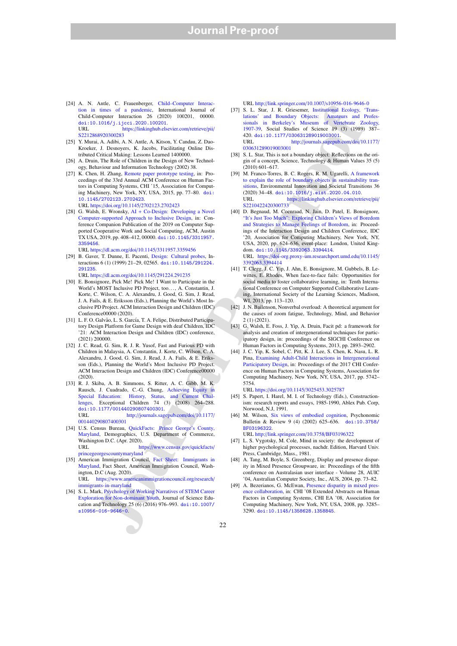- [24] A. N. Antle, C. Frauenberger, Child–Computer Interaction in times of a pandemic, International Journal of Child-Computer Interaction 26 (2020) 100201, 00000. doi:10.1016/j.ijcci.2020.100201.<br>URL https://linkinghub.else https://linkinghub.elsevier.com/retrieve/pii/ S2212868920300283
- [25] Y. Murai, A. Adibi, A. N. Antle, A. Kitson, Y. Candau, Z. Dao-Kroeker, J. Desnoyers, K. Jacobs, Facilitating Online Distributed Critical Making: Lessons Learned 1400000.
- [26] A. Druin, The Role of Children in the Design of New Technology, Behaviour and Information Technology (2002) 38.
- [27] K. Chen, H. Zhang, Remote paper prototype testing, in: Proceedings of the 33rd Annual ACM Conference on Human Factors in Computing Systems, CHI '15, Association for Computing Machinery, New York, NY, USA, 2015, pp. 77–80. doi: 10.1145/2702123.2702423. URL https://doi.org/10.1145/2702123.2702423
- [28] G. Walsh, E. Wronsky, AI + Co-Design: Developing a Novel Computer-supported Approach to Inclusive Design in: Conference Companion Publication of the 2019 on Computer Supported Cooperative Work and Social Computing, ACM, Austin TX USA, 2019, pp. 408–412, 00000. doi:10.1145/3311957. 3359456.

URL https://dl.acm.org/doi/10.1145/3311957.3359456

- [29] B. Gaver, T. Dunne, E. Pacenti, Design: Cultural probes, Interactions 6 (1) (1999) 21–29, 02565. doi:10.1145/291224. 291235. URL https://dl.acm.org/doi/10.1145/291224.291235
- [30] E. Bonsignore, Pick Me! Pick Me! I Want to Participate in the World's MOST Inclusive PD Project, too. . . , A. Constantin, J. Korte, C. Wilson, C. A. Alexandru, J. Good, G. Sim, J. Read, J. A. Fails, & E. Eriksson (Eds.), Planning the World's Most Inclusive PD Project. ACM Interaction Design and Children (IDC) Conference00000 (2020).
- [31] L. F. O. Galvão, L. S. García, T. A. Felipe, Distributed Participatory Design Platform for Game Design with deaf Children, IDC '21: ACM Interaction Design and Children (IDC) conference, (2021) 200000.
- [32] J. C. Read, G. Sim, R. J. R. Yusof, Fast and Furious PD with Children in Malaysia, A. Constantin, J. Korte, C. Wilson, C. A. Alexandru, J. Good, G. Sim, J. Read, J. A. Fails, & E. Eriksson (Eds.), Planning the World's Most Inclusive PD Project. ACM Interaction Design and Children (IDC) Conference00000 (2020).
- [33] R. J. Skiba, A. B. Simmons, S. Ritter, A. C. Gibb, M. K. Rausch, J. Cuadrado, C.-G. Chung, Achieving Equity in Special Education: History, Status, and Current lenges, Exceptional Children 74 (3) (2008) 264–288. doi:10.1177/001440290807400301.<br>URL http://journals.sag http://journals.sagepub.com/doi/10.1177/
- 001440290807400301 [34] U.S. Census Bureau, QuickFacts: Prince George's County, Maryland, Demographics, U.S. Department of Commerce, Washington D.C. (Apr. 2020). https://www.census.gov/quickfacts/
- princegeorgescountymaryland [35] American Immigration Council, Fact Sheet: Immigrants in Maryland, Fact Sheet, American Immigration Council, Washington, D.C (Aug. 2020).

URL https://www.americanimmigrationcouncil.org/research/ immigrants-in-maryland

[36] S. L. Mark, Psychology of Working Narratives of STEM Career Exploration for Non-dominant Youth, Journal of Science Education and Technology 25 (6) (2016) 976–993. doi:10.1007/ s10956-016-9646-0.

URL http://link.springer.com/10.1007/s10956-016-9646-0

- [37] S. L. Star, J. R. Griesemer, Institutional Ecology, 'Translations' and Boundary Objects: Amateurs and Professionals in Berkeley's Museum of Vertebrate Zoology, 1907-39, Social Studies of Science 19 (3) (1989) 387– 420. doi:10.1177/030631289019003001.<br>URL http://journals.sagepub. http://journals.sagepub.com/doi/10.1177/ 030631289019003001
- [38] S. L. Star, This is not a boundary object: Reflections on the origin of a concept, Science, Technology & Human Values 35 (5) (2010) 601–617.
- [39] M. Franco-Torres, B. C. Rogers, R. M. Ugarelli, A framework to explain the role of boundary objects in sustainability transitions, Environmental Innovation and Societal Transitions 36  $(2020)$  34–48. doi:10.1016/j.eist.2020.04.010.<br>URL https://linkinghub.elsevier.com/retr https://linkinghub.elsevier.com/retrieve/pii/ S2210422420300733
- **The Constitution of the Maria Constitution Constitution (i.e., when**  $\theta$  **is the space of the main of the Maria Constitution (i.e., when**  $\theta$  **is the Maria Constitution (i.e., the Maria Constitution (i.e., the Maria Const** [40] D. Begnaud, M. Coenraad, N. Jain, D. Patel, E. Bonsignore, "It's Just Too Much": Exploring Children's Views of Boredom and Strategies to Manage Feelings of Boredom, in: Proceedings of the Interaction Design and Children Conference, IDC '20, Association for Computing Machinery, New York, NY, USA, 2020, pp. 624–636, event-place: London, United Kingdom. doi:10.1145/3392063.3394414. URL https://doi-org.proxy-um.researchport.umd.edu/10.1145/ 3392063.3394414
	- [41] T. Clegg, J. C. Yip, J. Ahn, E. Bonsignore, M. Gubbels, B. Lewittes, E. Rhodes, When face-to-face fails: Opportunities for social media to foster collaborative learning, in: Tenth International Conference on Computer Supported Collaborative Learning, International Society of the Learning Sciences, Madison, WI, 2013, pp. 113–120.
	- [42] J. N. Bailenson, Nonverbal overload: A theoretical argument for the causes of zoom fatigue, Technology, Mind, and Behavior 2 (1) (2021).
	- [43] G. Walsh, E. Foss, J. Yip, A. Druin, Facit pd: a framework for analysis and creation of intergenerational techniques for participatory design, in: proceedings of the SIGCHI Conference on Human Factors in Computing Systems, 2013, pp. 2893–2902.
	- [44] J. C. Yip, K. Sobel, C. Pitt, K. J. Lee, S. Chen, K. Nasu, L. R. Pina, Examining Adult-Child Interactions in Intergenerational Participatory Design, in: Proceedings of the 2017 CHI Conference on Human Factors in Computing Systems, Association for Computing Machinery, New York, NY, USA, 2017, pp. 5742– 5754.
		- URL https://doi.org/10.1145/3025453.3025787
	- [45] S. Papert, I. Harel, M. I. of Technology (Eds.), Constructionism: research reports and essays, 1985-1990, Ablex Pub. Corp, Norwood, N.J, 1991.
	- [46] M. Wilson, Six views of embodied cognition, Psychonomic Bulletin & Review 9 (4) (2002) 625–636. doi:10.3758/ BF03196322.

URL http://link.springer.com/10.3758/BF03196322

- [47] L. S. Vygotsky, M. Cole, Mind in society: the development of higher psychological processes, nachdr. Edition, Harvard Univ. Press, Cambridge, Mass., 1981.
- [48] A. Tang, M. Boyle, S. Greenberg, Display and presence disparity in Mixed Presence Groupware, in: Proceedings of the fifth conference on Australasian user interface - Volume 28, AUIC '04, Australian Computer Society, Inc., AUS, 2004, pp. 73–82.
- [49] A. Bezerianos, G. McEwan, Presence disparity in mixed presence collaboration, in: CHI '08 Extended Abstracts on Human Factors in Computing Systems, CHI EA '08, Association for Computing Machinery, New York, NY, USA, 2008, pp. 3285– 3290. doi:10.1145/1358628.1358845.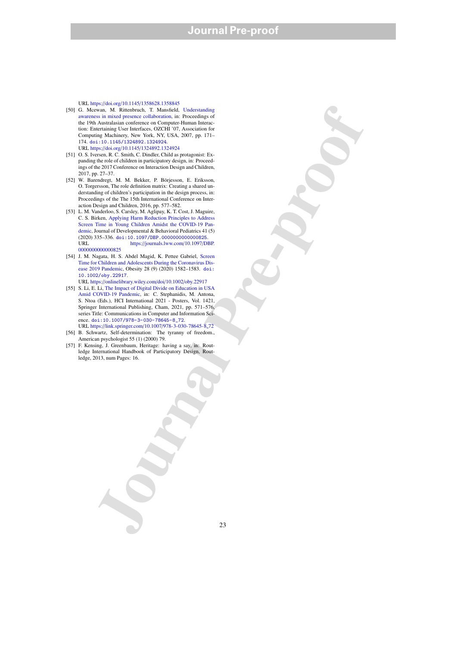URL https://doi.org/10.1145/1358628.1358845

- been the function of the control of the control of the control of the control of the control of the control of the control of the control of the control of the control of the control of the control of the control of the c [50] G. Mcewan, M. Rittenbruch, T. Mansfield, Understanding awareness in mixed presence collaboration, in: Proceedings of the 19th Australasian conference on Computer-Human Interaction: Entertaining User Interfaces, OZCHI '07, Association for Computing Machinery, New York, NY, USA, 2007, pp. 171– 174. doi:10.1145/1324892.1324924. URL https://doi.org/10.1145/1324892.1324924
- [51] O. S. Iversen, R. C. Smith, C. Dindler, Child as protagonist: Expanding the role of children in participatory design, in: Proceedings of the 2017 Conference on Interaction Design and Children, 2017, pp. 27–37.
- [52] W. Barendregt, M. M. Bekker, P. Börjesson, E. Eriksson, O. Torgersson, The role definition matrix: Creating a shared understanding of children's participation in the design process, in: Proceedings of the The 15th International Conference on Interaction Design and Children, 2016, pp. 577–582.
- [53] L. M. Vanderloo, S. Carsley, M. Aglipay, K. T. Cost, J. Maguire, C. S. Birken, Applying Harm Reduction Principles to Address Screen Time in Young Children Amidst the COVID-19 Pandemic, Journal of Developmental & Behavioral Pediatrics 41 (5) (2020) 335–336. doi:10.1097/DBP.0000000000000025.<br>URL https://journals.lww.com/10.1097/Dl https://journals.lww.com/10.1097/DBP. 0000000000000825
- [54] J. M. Nagata, H. S. Abdel Magid, K. Pettee Gabriel, Screen Time for Children and Adolescents During the Coronavirus Disease 2019 Pandemic, Obesity 28 (9) (2020) 1582–1583. doi: 10.1002/oby.22917.
- URL https://onlinelibrary.wiley.com/doi/10.1002/oby.22917 [55] S. Li, E. Li, The Impact of Digital Divide on Education in USA
- Amid COVID-19 Pandemic, in: C. Stephanidis, M. Antona, S. Ntoa (Eds.), HCI International 2021 - Posters, Vol. 1421, Springer International Publishing, Cham, 2021, pp. 571–576, series Title: Communications in Computer and Information Science. doi:10.1007/978-3-030-78645-8 72.
- URL https://link.springer.com/10.1007/978-3-030-78645-8 72 [56] B. Schwartz, Self-determination: The tyranny of freedom., American psychologist 55 (1) (2000) 79.
- [57] F. Kensing, J. Greenbaum, Heritage: having a say, in: Routledge International Handbook of Participatory Design, Routledge, 2013, num Pages: 16.